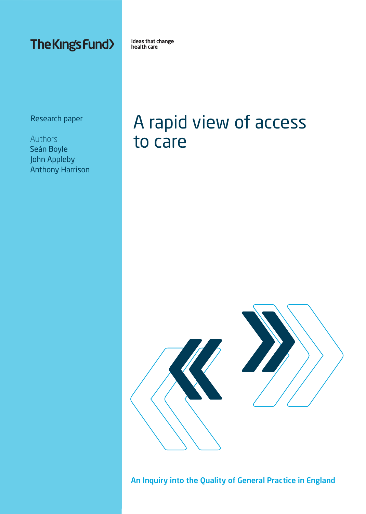**The Kings Fund>** 

Ideas that change health care

Research paper

Authors Seán Boyle John Appleby Anthony Harrison

# A rapid view of access to care



An Inquiry into the Quality of General Practice in England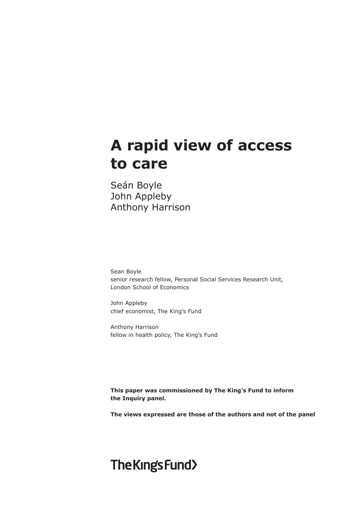# **A rapid view of access to care**

Seán Boyle John Appleby Anthony Harrison

Sean Boyle senior research fellow, Personal Social Services Research Unit, London School of Economics

John Appleby chief economist, The King's Fund

Anthony Harrison fellow in health policy, The King's Fund

**This paper was commissioned by The King's Fund to inform the Inquiry panel.** 

**The views expressed are those of the authors and not of the panel**

# The Kings Fund>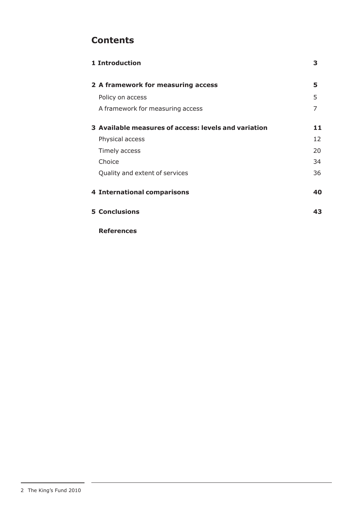# **Contents**

| <b>1 Introduction</b>                                | З  |
|------------------------------------------------------|----|
| 2 A framework for measuring access                   | 5  |
| Policy on access                                     | 5  |
| A framework for measuring access                     | 7  |
| 3 Available measures of access: levels and variation | 11 |
| Physical access                                      | 12 |
| Timely access                                        | 20 |
| Choice                                               | 34 |
| Quality and extent of services                       | 36 |
| <b>4 International comparisons</b>                   | 40 |
| <b>5 Conclusions</b>                                 | 43 |

**References**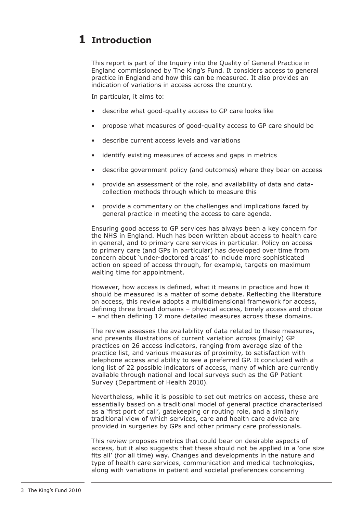# **Introduction 1**

This report is part of the Inquiry into the Quality of General Practice in England commissioned by The King's Fund. It considers access to general practice in England and how this can be measured. It also provides an indication of variations in access across the country.

In particular, it aims to:

- describe what good-quality access to GP care looks like
- propose what measures of good-quality access to GP care should be
- describe current access levels and variations
- • identify existing measures of access and gaps in metrics
- describe government policy (and outcomes) where they bear on access
- provide an assessment of the role, and availability of data and datacollection methods through which to measure this
- provide a commentary on the challenges and implications faced by general practice in meeting the access to care agenda.

Ensuring good access to GP services has always been a key concern for the NHS in England. Much has been written about access to health care in general, and to primary care services in particular. Policy on access to primary care (and GPs in particular) has developed over time from concern about 'under-doctored areas' to include more sophisticated action on speed of access through, for example, targets on maximum waiting time for appointment.

However, how access is defined, what it means in practice and how it should be measured is a matter of some debate. Reflecting the literature on access, this review adopts a multidimensional framework for access, defining three broad domains – physical access, timely access and choice – and then defining 12 more detailed measures across these domains.

The review assesses the availability of data related to these measures, and presents illustrations of current variation across (mainly) GP practices on 26 access indicators, ranging from average size of the practice list, and various measures of proximity, to satisfaction with telephone access and ability to see a preferred GP. It concluded with a long list of 22 possible indicators of access, many of which are currently available through national and local surveys such as the GP Patient Survey (Department of Health 2010).

Nevertheless, while it is possible to set out metrics on access, these are essentially based on a traditional model of general practice characterised as a 'first port of call', gatekeeping or routing role, and a similarly traditional view of which services, care and health care advice are provided in surgeries by GPs and other primary care professionals.

This review proposes metrics that could bear on desirable aspects of access, but it also suggests that these should not be applied in a 'one size fits all' (for all time) way. Changes and developments in the nature and type of health care services, communication and medical technologies, along with variations in patient and societal preferences concerning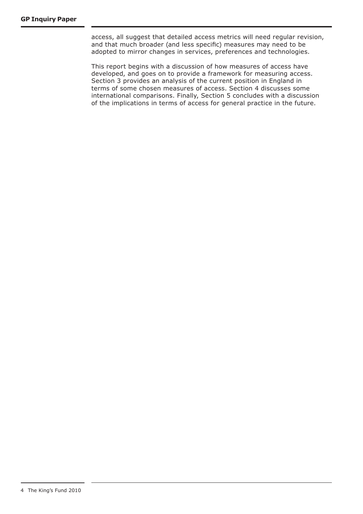access, all suggest that detailed access metrics will need regular revision, and that much broader (and less specific) measures may need to be adopted to mirror changes in services, preferences and technologies.

This report begins with a discussion of how measures of access have developed, and goes on to provide a framework for measuring access. Section 3 provides an analysis of the current position in England in terms of some chosen measures of access. Section 4 discusses some international comparisons. Finally, Section 5 concludes with a discussion of the implications in terms of access for general practice in the future.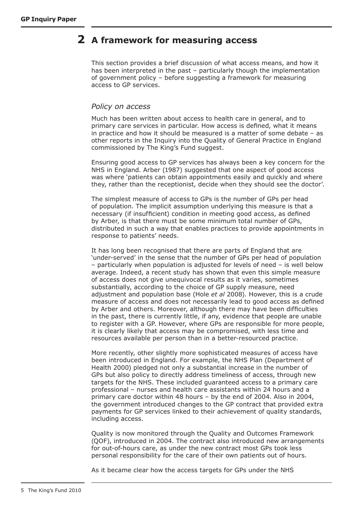# **A framework for measuring access 2**

This section provides a brief discussion of what access means, and how it has been interpreted in the past – particularly though the implementation of government policy – before suggesting a framework for measuring access to GP services.

### *Policy on access*

Much has been written about access to health care in general, and to primary care services in particular. How access is defined, what it means in practice and how it should be measured is a matter of some debate – as other reports in the Inquiry into the Quality of General Practice in England commissioned by The King's Fund suggest.

Ensuring good access to GP services has always been a key concern for the NHS in England. Arber (1987) suggested that one aspect of good access was where 'patients can obtain appointments easily and quickly and where they, rather than the receptionist, decide when they should see the doctor'.

The simplest measure of access to GPs is the number of GPs per head of population. The implicit assumption underlying this measure is that a necessary (if insufficient) condition in meeting good access, as defined by Arber, is that there must be some minimum total number of GPs, distributed in such a way that enables practices to provide appointments in response to patients' needs.

It has long been recognised that there are parts of England that are 'under-served' in the sense that the number of GPs per head of population – particularly when population is adjusted for levels of need – is well below average. Indeed, a recent study has shown that even this simple measure of access does not give unequivocal results as it varies, sometimes substantially, according to the choice of GP supply measure, need adjustment and population base (Hole *et al* 2008). However, this is a crude measure of access and does not necessarily lead to good access as defined by Arber and others. Moreover, although there may have been difficulties in the past, there is currently little, if any, evidence that people are unable to register with a GP. However, where GPs are responsible for more people, it is clearly likely that access may be compromised, with less time and resources available per person than in a better-resourced practice.

More recently, other slightly more sophisticated measures of access have been introduced in England. For example, the NHS Plan (Department of Health 2000) pledged not only a substantial increase in the number of GPs but also policy to directly address timeliness of access, through new targets for the NHS. These included guaranteed access to a primary care professional – nurses and health care assistants within 24 hours and a primary care doctor within 48 hours – by the end of 2004. Also in 2004, the government introduced changes to the GP contract that provided extra payments for GP services linked to their achievement of quality standards, including access.

Quality is now monitored through the Quality and Outcomes Framework (QOF), introduced in 2004. The contract also introduced new arrangements for out-of-hours care, as under the new contract most GPs took less personal responsibility for the care of their own patients out of hours.

As it became clear how the access targets for GPs under the NHS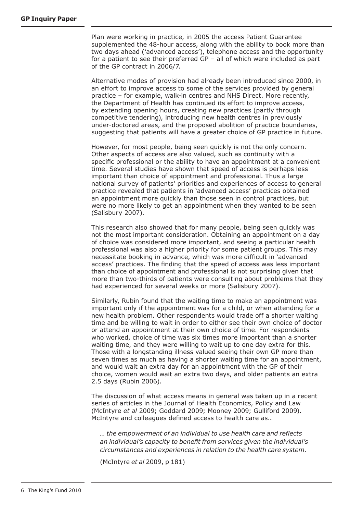Plan were working in practice, in 2005 the access Patient Guarantee supplemented the 48-hour access, along with the ability to book more than two days ahead ('advanced access'), telephone access and the opportunity for a patient to see their preferred GP – all of which were included as part of the GP contract in 2006/7.

Alternative modes of provision had already been introduced since 2000, in an effort to improve access to some of the services provided by general practice – for example, walk-in centres and NHS Direct. More recently, the Department of Health has continued its effort to improve access, by extending opening hours, creating new practices (partly through competitive tendering), introducing new health centres in previously under-doctored areas, and the proposed abolition of practice boundaries, suggesting that patients will have a greater choice of GP practice in future.

However, for most people, being seen quickly is not the only concern. Other aspects of access are also valued, such as continuity with a specific professional or the ability to have an appointment at a convenient time. Several studies have shown that speed of access is perhaps less important than choice of appointment and professional. Thus a large national survey of patients' priorities and experiences of access to general practice revealed that patients in 'advanced access' practices obtained an appointment more quickly than those seen in control practices, but were no more likely to get an appointment when they wanted to be seen (Salisbury 2007).

This research also showed that for many people, being seen quickly was not the most important consideration. Obtaining an appointment on a day of choice was considered more important, and seeing a particular health professional was also a higher priority for some patient groups. This may necessitate booking in advance, which was more difficult in 'advanced access' practices. The finding that the speed of access was less important than choice of appointment and professional is not surprising given that more than two-thirds of patients were consulting about problems that they had experienced for several weeks or more (Salisbury 2007).

Similarly, Rubin found that the waiting time to make an appointment was important only if the appointment was for a child, or when attending for a new health problem. Other respondents would trade off a shorter waiting time and be willing to wait in order to either see their own choice of doctor or attend an appointment at their own choice of time. For respondents who worked, choice of time was six times more important than a shorter waiting time, and they were willing to wait up to one day extra for this. Those with a longstanding illness valued seeing their own GP more than seven times as much as having a shorter waiting time for an appointment, and would wait an extra day for an appointment with the GP of their choice, women would wait an extra two days, and older patients an extra 2.5 days (Rubin 2006).

The discussion of what access means in general was taken up in a recent series of articles in the Journal of Health Economics, Policy and Law (McIntyre *et al* 2009; Goddard 2009; Mooney 2009; Gulliford 2009). McIntyre and colleagues defined access to health care as…

*… the empowerment of an individual to use health care and reflects an individual's capacity to benefit from services given the individual's circumstances and experiences in relation to the health care system.*

(McIntyre *et al* 2009, p 181)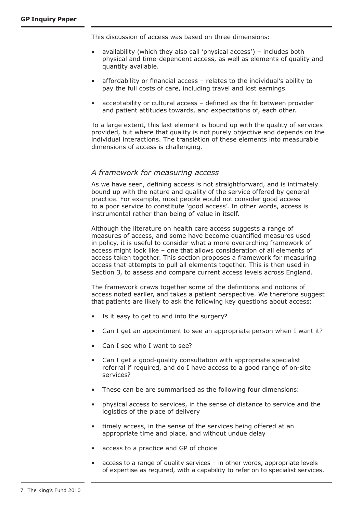This discussion of access was based on three dimensions:

- availability (which they also call 'physical access') includes both physical and time-dependent access, as well as elements of quality and quantity available.
- affordability or financial access  $-$  relates to the individual's ability to pay the full costs of care, including travel and lost earnings.
- acceptability or cultural access  $-$  defined as the fit between provider and patient attitudes towards, and expectations of, each other.

To a large extent, this last element is bound up with the quality of services provided, but where that quality is not purely objective and depends on the individual interactions. The translation of these elements into measurable dimensions of access is challenging.

# *A framework for measuring access*

As we have seen, defining access is not straightforward, and is intimately bound up with the nature and quality of the service offered by general practice. For example, most people would not consider good access to a poor service to constitute 'good access'. In other words, access is instrumental rather than being of value in itself.

Although the literature on health care access suggests a range of measures of access, and some have become quantified measures used in policy, it is useful to consider what a more overarching framework of access might look like – one that allows consideration of all elements of access taken together. This section proposes a framework for measuring access that attempts to pull all elements together. This is then used in Section 3, to assess and compare current access levels across England.

The framework draws together some of the definitions and notions of access noted earlier, and takes a patient perspective. We therefore suggest that patients are likely to ask the following key questions about access:

- Is it easy to get to and into the surgery?
- Can I get an appointment to see an appropriate person when I want it?
- Can I see who I want to see?
- Can I get a good-quality consultation with appropriate specialist referral if required, and do I have access to a good range of on-site services?
- These can be are summarised as the following four dimensions:
- physical access to services, in the sense of distance to service and the logistics of the place of delivery
- timely access, in the sense of the services being offered at an appropriate time and place, and without undue delay
- access to a practice and GP of choice
- $access to a range of quality services in other words, appropriate levels$ of expertise as required, with a capability to refer on to specialist services.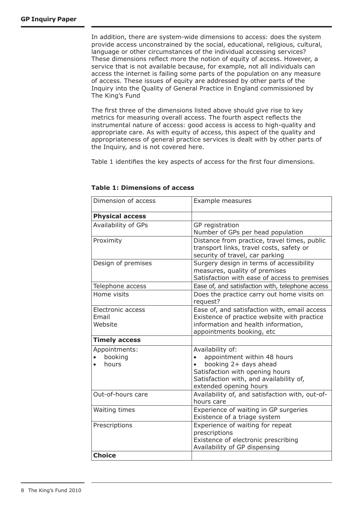In addition, there are system-wide dimensions to access: does the system provide access unconstrained by the social, educational, religious, cultural, language or other circumstances of the individual accessing services? These dimensions reflect more the notion of equity of access. However, a service that is not available because, for example, not all individuals can access the internet is failing some parts of the population on any measure of access. These issues of equity are addressed by other parts of the Inquiry into the Quality of General Practice in England commissioned by The King's Fund

The first three of the dimensions listed above should give rise to key metrics for measuring overall access. The fourth aspect reflects the instrumental nature of access: good access is access to high-quality and appropriate care. As with equity of access, this aspect of the quality and appropriateness of general practice services is dealt with by other parts of the Inquiry, and is not covered here.

Table 1 identifies the key aspects of access for the first four dimensions.

| Dimension of access                   | Example measures                                                                                                                                                                              |  |
|---------------------------------------|-----------------------------------------------------------------------------------------------------------------------------------------------------------------------------------------------|--|
| <b>Physical access</b>                |                                                                                                                                                                                               |  |
| Availability of GPs                   | GP registration<br>Number of GPs per head population                                                                                                                                          |  |
| Proximity                             | Distance from practice, travel times, public<br>transport links, travel costs, safety or<br>security of travel, car parking                                                                   |  |
| Design of premises                    | Surgery design in terms of accessibility<br>measures, quality of premises<br>Satisfaction with ease of access to premises                                                                     |  |
| Telephone access                      | Ease of, and satisfaction with, telephone access                                                                                                                                              |  |
| Home visits                           | Does the practice carry out home visits on<br>request?                                                                                                                                        |  |
| Electronic access<br>Email<br>Website | Ease of, and satisfaction with, email access<br>Existence of practice website with practice<br>information and health information,<br>appointments booking, etc                               |  |
| <b>Timely access</b>                  |                                                                                                                                                                                               |  |
| Appointments:<br>booking<br>hours     | Availability of:<br>appointment within 48 hours<br>$\bullet$<br>booking 2+ days ahead<br>Satisfaction with opening hours<br>Satisfaction with, and availability of,<br>extended opening hours |  |
| Out-of-hours care                     | Availability of, and satisfaction with, out-of-<br>hours care                                                                                                                                 |  |
| Waiting times                         | Experience of waiting in GP surgeries<br>Existence of a triage system                                                                                                                         |  |
| Prescriptions                         | Experience of waiting for repeat<br>prescriptions<br>Existence of electronic prescribing<br>Availability of GP dispensing                                                                     |  |
| <b>Choice</b>                         |                                                                                                                                                                                               |  |

#### **Table 1: Dimensions of access**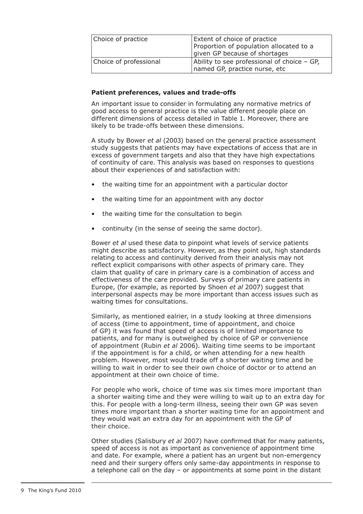| Choice of practice     | Extent of choice of practice<br>Proportion of population allocated to a<br>given GP because of shortages |
|------------------------|----------------------------------------------------------------------------------------------------------|
| Choice of professional | Ability to see professional of choice - GP,<br>named GP, practice nurse, etc                             |

#### **Patient preferences, values and trade-offs**

An important issue to consider in formulating any normative metrics of good access to general practice is the value different people place on different dimensions of access detailed in Table 1. Moreover, there are likely to be trade-offs between these dimensions.

A study by Bower *et al* (2003) based on the general practice assessment study suggests that patients may have expectations of access that are in excess of government targets and also that they have high expectations of continuity of care. This analysis was based on responses to questions about their experiences of and satisfaction with:

- the waiting time for an appointment with a particular doctor
- the waiting time for an appointment with any doctor
- the waiting time for the consultation to begin
- continuity (in the sense of seeing the same doctor).

Bower *et al* used these data to pinpoint what levels of service patients might describe as satisfactory. However, as they point out, high standards relating to access and continuity derived from their analysis may not reflect explicit comparisons with other aspects of primary care. They claim that quality of care in primary care is a combination of access and effectiveness of the care provided. Surveys of primary care patients in Europe, (for example, as reported by Shoen *et al* 2007) suggest that interpersonal aspects may be more important than access issues such as waiting times for consultations.

Similarly, as mentioned ealrier, in a study looking at three dimensions of access (time to appointment, time of appointment, and choice of GP) it was found that speed of access is of limited importance to patients, and for many is outweighed by choice of GP or convenience of appointment (Rubin *et al* 2006). Waiting time seems to be important if the appointment is for a child, or when attending for a new health problem. However, most would trade off a shorter waiting time and be willing to wait in order to see their own choice of doctor or to attend an appointment at their own choice of time.

For people who work, choice of time was six times more important than a shorter waiting time and they were willing to wait up to an extra day for this. For people with a long-term illness, seeing their own GP was seven times more important than a shorter waiting time for an appointment and they would wait an extra day for an appointment with the GP of their choice.

Other studies (Salisbury *et al* 2007) have confirmed that for many patients, speed of access is not as important as convenience of appointment time and date. For example, where a patient has an urgent but non-emergency need and their surgery offers only same-day appointments in response to a telephone call on the day – or appointments at some point in the distant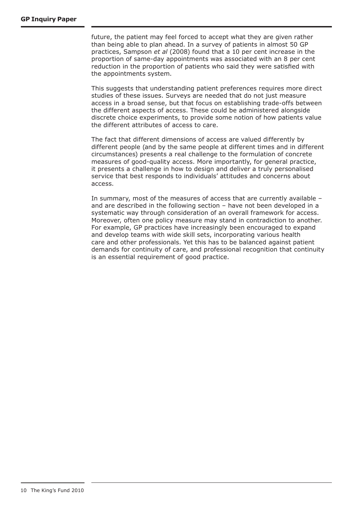future, the patient may feel forced to accept what they are given rather than being able to plan ahead. In a survey of patients in almost 50 GP practices, Sampson *et al* (2008) found that a 10 per cent increase in the proportion of same-day appointments was associated with an 8 per cent reduction in the proportion of patients who said they were satisfied with the appointments system.

This suggests that understanding patient preferences requires more direct studies of these issues. Surveys are needed that do not just measure access in a broad sense, but that focus on establishing trade-offs between the different aspects of access. These could be administered alongside discrete choice experiments, to provide some notion of how patients value the different attributes of access to care.

The fact that different dimensions of access are valued differently by different people (and by the same people at different times and in different circumstances) presents a real challenge to the formulation of concrete measures of good-quality access. More importantly, for general practice, it presents a challenge in how to design and deliver a truly personalised service that best responds to individuals' attitudes and concerns about access.

In summary, most of the measures of access that are currently available – and are described in the following section – have not been developed in a systematic way through consideration of an overall framework for access. Moreover, often one policy measure may stand in contradiction to another. For example, GP practices have increasingly been encouraged to expand and develop teams with wide skill sets, incorporating various health care and other professionals. Yet this has to be balanced against patient demands for continuity of care, and professional recognition that continuity is an essential requirement of good practice.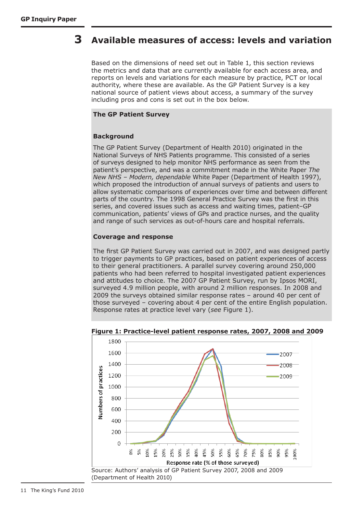#### **Available measures of access: levels and variation 3**

Based on the dimensions of need set out in Table 1, this section reviews the metrics and data that are currently available for each access area, and reports on levels and variations for each measure by practice, PCT or local authority, where these are available. As the GP Patient Survey is a key national source of patient views about access, a summary of the survey including pros and cons is set out in the box below.

### **The GP Patient Survey**

# **Background**

The GP Patient Survey (Department of Health 2010) originated in the National Surveys of NHS Patients programme. This consisted of a series of surveys designed to help monitor NHS performance as seen from the patient's perspective, and was a commitment made in the White Paper *The New NHS – Modern, dependable* White Paper (Department of Health 1997), which proposed the introduction of annual surveys of patients and users to allow systematic comparisons of experiences over time and between different parts of the country. The 1998 General Practice Survey was the first in this series, and covered issues such as access and waiting times, patient–GP communication, patients' views of GPs and practice nurses, and the quality and range of such services as out-of-hours care and hospital referrals.

#### **Coverage and response**

The first GP Patient Survey was carried out in 2007, and was designed partly to trigger payments to GP practices, based on patient experiences of access to their general practitioners. A parallel survey covering around 250,000 patients who had been referred to hospital investigated patient experiences and attitudes to choice. The 2007 GP Patient Survey, run by Ipsos MORI, surveyed 4.9 million people, with around 2 million responses. In 2008 and 2009 the surveys obtained similar response rates – around 40 per cent of those surveyed – covering about 4 per cent of the entire English population. Response rates at practice level vary (*see* Figure 1).



#### **Figure 1: Practice-level patient response rates, 2007, 2008 and 2009**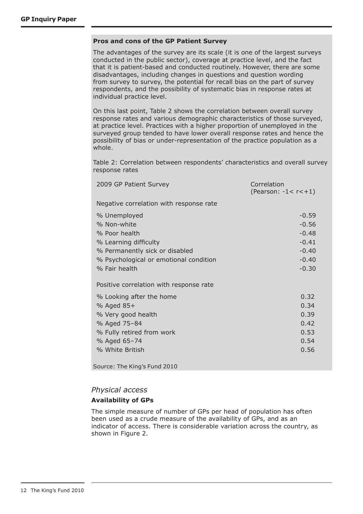#### **Pros and cons of the GP Patient Survey**

The advantages of the survey are its scale (it is one of the largest surveys conducted in the public sector), coverage at practice level, and the fact that it is patient-based and conducted routinely. However, there are some disadvantages, including changes in questions and question wording from survey to survey, the potential for recall bias on the part of survey respondents, and the possibility of systematic bias in response rates at individual practice level.

On this last point, Table 2 shows the correlation between overall survey response rates and various demographic characteristics of those surveyed, at practice level. Practices with a higher proportion of unemployed in the surveyed group tended to have lower overall response rates and hence the possibility of bias or under-representation of the practice population as a whole.

Table 2: Correlation between respondents' characteristics and overall survey response rates

| 2009 GP Patient Survey                                                                                                                                             | Correlation<br>(Pearson: $-1 < r < +1$ )                                  |
|--------------------------------------------------------------------------------------------------------------------------------------------------------------------|---------------------------------------------------------------------------|
| Negative correlation with response rate                                                                                                                            |                                                                           |
| % Unemployed<br>% Non-white<br>% Poor health<br>% Learning difficulty<br>% Permanently sick or disabled<br>% Psychological or emotional condition<br>% Fair health | $-0.59$<br>$-0.56$<br>$-0.48$<br>$-0.41$<br>$-0.40$<br>$-0.40$<br>$-0.30$ |
| Positive correlation with response rate                                                                                                                            |                                                                           |
| % Looking after the home<br>% Aged 85+<br>% Very good health<br>% Aged 75-84<br>% Fully retired from work<br>% Aged 65-74<br>% White British                       | 0.32<br>0.34<br>0.39<br>0.42<br>0.53<br>0.54<br>0.56                      |

Source: The King's Fund 2010

# *Physical access*

#### **Availability of GPs**

The simple measure of number of GPs per head of population has often been used as a crude measure of the availability of GPs, and as an indicator of access. There is considerable variation across the country, as shown in Figure 2.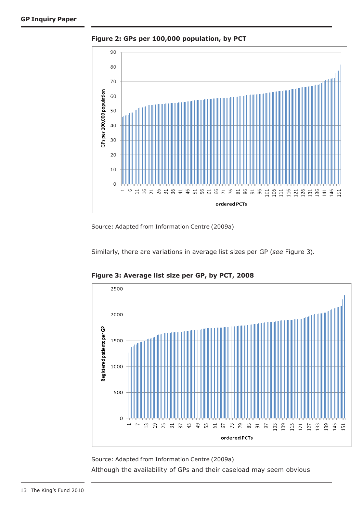

**Figure 2: GPs per 100,000 population, by PCT**

Source: Adapted from Information Centre (2009a)

Similarly, there are variations in average list sizes per GP (*see* Figure 3).



**Figure 3: Average list size per GP, by PCT, 2008**

Source: Adapted from Information Centre (2009a) Although the availability of GPs and their caseload may seem obvious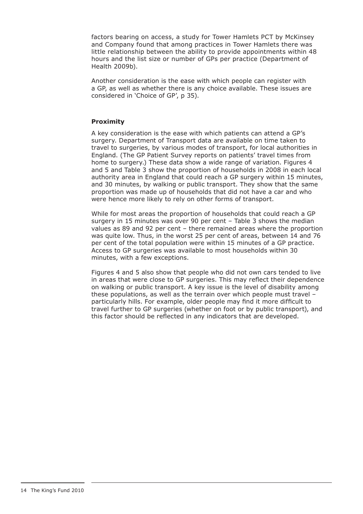factors bearing on access, a study for Tower Hamlets PCT by McKinsey and Company found that among practices in Tower Hamlets there was little relationship between the ability to provide appointments within 48 hours and the list size or number of GPs per practice (Department of Health 2009b).

Another consideration is the ease with which people can register with a GP, as well as whether there is any choice available. These issues are considered in 'Choice of GP', p 35).

### **Proximity**

A key consideration is the ease with which patients can attend a GP's surgery. Department of Transport data are available on time taken to travel to surgeries, by various modes of transport, for local authorities in England. (The GP Patient Survey reports on patients' travel times from home to surgery.) These data show a wide range of variation. Figures 4 and 5 and Table 3 show the proportion of households in 2008 in each local authority area in England that could reach a GP surgery within 15 minutes, and 30 minutes, by walking or public transport. They show that the same proportion was made up of households that did not have a car and who were hence more likely to rely on other forms of transport.

While for most areas the proportion of households that could reach a GP surgery in 15 minutes was over 90 per cent – Table 3 shows the median values as 89 and 92 per cent – there remained areas where the proportion was quite low. Thus, in the worst 25 per cent of areas, between 14 and 76 per cent of the total population were within 15 minutes of a GP practice. Access to GP surgeries was available to most households within 30 minutes, with a few exceptions.

Figures 4 and 5 also show that people who did not own cars tended to live in areas that were close to GP surgeries. This may reflect their dependence on walking or public transport. A key issue is the level of disability among these populations, as well as the terrain over which people must travel – particularly hills. For example, older people may find it more difficult to travel further to GP surgeries (whether on foot or by public transport), and this factor should be reflected in any indicators that are developed.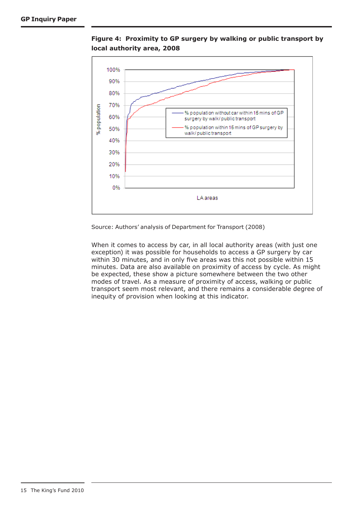

**Figure 4: Proximity to GP surgery by walking or public transport by local authority area, 2008**

Source: Authors' analysis of Department for Transport (2008)

When it comes to access by car, in all local authority areas (with just one exception) it was possible for households to access a GP surgery by car within 30 minutes, and in only five areas was this not possible within 15 minutes. Data are also available on proximity of access by cycle. As might be expected, these show a picture somewhere between the two other modes of travel. As a measure of proximity of access, walking or public transport seem most relevant, and there remains a considerable degree of inequity of provision when looking at this indicator.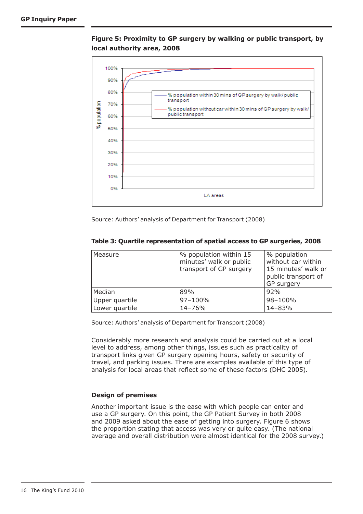**Figure 5: Proximity to GP surgery by walking or public transport, by local authority area, 2008**



Source: Authors' analysis of Department for Transport (2008)

| Measure        | % population within 15<br>minutes' walk or public<br>transport of GP surgery | % population<br>without car within<br>15 minutes' walk or<br>public transport of<br>GP surgery |
|----------------|------------------------------------------------------------------------------|------------------------------------------------------------------------------------------------|
| Median         | 89%                                                                          | 92%                                                                                            |
| Upper quartile | 97-100%                                                                      | 98-100%                                                                                        |
| Lower quartile | 14-76%                                                                       | 14-83%                                                                                         |

#### **Table 3: Quartile representation of spatial access to GP surgeries, 2008**

Source: Authors' analysis of Department for Transport (2008)

Considerably more research and analysis could be carried out at a local level to address, among other things, issues such as practicality of transport links given GP surgery opening hours, safety or security of travel, and parking issues. There are examples available of this type of analysis for local areas that reflect some of these factors (DHC 2005).

# **Design of premises**

Another important issue is the ease with which people can enter and use a GP surgery. On this point, the GP Patient Survey in both 2008 and 2009 asked about the ease of getting into surgery. Figure 6 shows the proportion stating that access was very or quite easy. (The national average and overall distribution were almost identical for the 2008 survey.)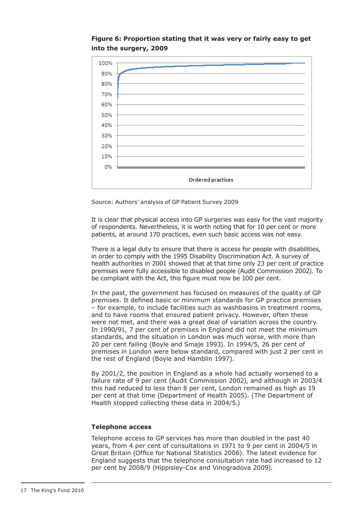# **Figure 6: Proportion stating that it was very or fairly easy to get into the surgery, 2009**



Source: Authors' analysis of GP Patient Survey 2009

It is clear that physical access into GP surgeries was easy for the vast majority of respondents. Nevertheless, it is worth noting that for 10 per cent or more patients, at around 170 practices, even such basic access was not easy.

There is a legal duty to ensure that there is access for people with disabilities, in order to comply with the 1995 Disability Discrimination Act. A survey of health authorities in 2001 showed that at that time only 23 per cent of practice premises were fully accessible to disabled people (Audit Commission 2002). To be compliant with the Act, this figure must now be 100 per cent.

In the past, the government has focused on measures of the quality of GP premises. It defined basic or minimum standards for GP practice premises – for example, to include facilities such as washbasins in treatment rooms, and to have rooms that ensured patient privacy. However, often these were not met, and there was a great deal of variation across the country. In 1990/91, 7 per cent of premises in England did not meet the minimum standards, and the situation in London was much worse, with more than 20 per cent failing (Boyle and Smaje 1993). In 1994/5, 26 per cent of premises in London were below standard, compared with just 2 per cent in the rest of England (Boyle and Hamblin 1997).

By 2001/2, the position in England as a whole had actually worsened to a failure rate of 9 per cent (Audit Commission 2002), and although in 2003/4 this had reduced to less than 8 per cent, London remained as high as 19 per cent at that time (Department of Health 2005). (The Department of Health stopped collecting these data in 2004/5.)

#### **Telephone access**

Telephone access to GP services has more than doubled in the past 40 years, from 4 per cent of consultations in 1971 to 9 per cent in 2004/5 in Great Britain (Office for National Statistics 2006). The latest evidence for England suggests that the telephone consultation rate had increased to 12 per cent by 2008/9 (Hippisley-Cox and Vinogradova 2009).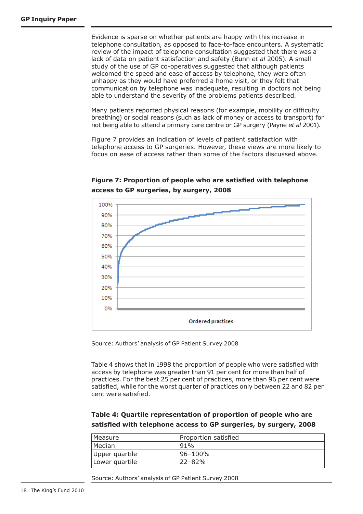Evidence is sparse on whether patients are happy with this increase in telephone consultation, as opposed to face-to-face encounters. A systematic review of the impact of telephone consultation suggested that there was a lack of data on patient satisfaction and safety (Bunn *et al* 2005). A small study of the use of GP co-operatives suggested that although patients welcomed the speed and ease of access by telephone, they were often unhappy as they would have preferred a home visit, or they felt that communication by telephone was inadequate, resulting in doctors not being able to understand the severity of the problems patients described.

Many patients reported physical reasons (for example, mobility or difficulty breathing) or social reasons (such as lack of money or access to transport) for not being able to attend a primary care centre or GP surgery (Payne *et al* 2001).

Figure 7 provides an indication of levels of patient satisfaction with telephone access to GP surgeries. However, these views are more likely to focus on ease of access rather than some of the factors discussed above.



**Figure 7: Proportion of people who are satisfied with telephone access to GP surgeries, by surgery, 2008**

Source: Authors' analysis of GP Patient Survey 2008

Table 4 shows that in 1998 the proportion of people who were satisfied with access by telephone was greater than 91 per cent for more than half of practices. For the best 25 per cent of practices, more than 96 per cent were satisfied, while for the worst quarter of practices only between 22 and 82 per cent were satisfied.

# **Table 4: Quartile representation of proportion of people who are satisfied with telephone access to GP surgeries, by surgery, 2008**

| l Measure      | Proportion satisfied |  |  |
|----------------|----------------------|--|--|
| Median         | $91\%$               |  |  |
| Upper quartile | l96–100%             |  |  |
| Lower quartile | $22 - 82%$           |  |  |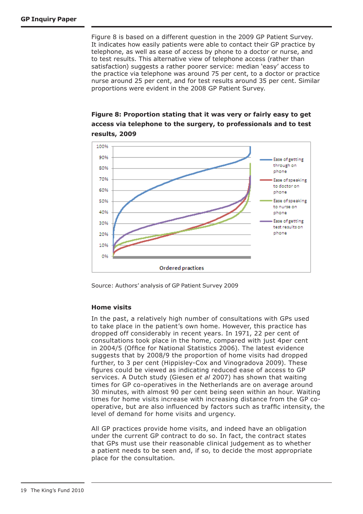Figure 8 is based on a different question in the 2009 GP Patient Survey. It indicates how easily patients were able to contact their GP practice by telephone, as well as ease of access by phone to a doctor or nurse, and to test results. This alternative view of telephone access (rather than satisfaction) suggests a rather poorer service: median 'easy' access to the practice via telephone was around 75 per cent, to a doctor or practice nurse around 25 per cent, and for test results around 35 per cent. Similar proportions were evident in the 2008 GP Patient Survey.

# **Figure 8: Proportion stating that it was very or fairly easy to get access via telephone to the surgery, to professionals and to test results, 2009**



Source: Authors' analysis of GP Patient Survey 2009

#### **Home visits**

In the past, a relatively high number of consultations with GPs used to take place in the patient's own home. However, this practice has dropped off considerably in recent years. In 1971, 22 per cent of consultations took place in the home, compared with just 4per cent in 2004/5 (Office for National Statistics 2006). The latest evidence suggests that by 2008/9 the proportion of home visits had dropped further, to 3 per cent (Hippisley-Cox and Vinogradova 2009). These figures could be viewed as indicating reduced ease of access to GP services. A Dutch study (Giesen *et al* 2007) has shown that waiting times for GP co-operatives in the Netherlands are on average around 30 minutes, with almost 90 per cent being seen within an hour. Waiting times for home visits increase with increasing distance from the GP cooperative, but are also influenced by factors such as traffic intensity, the level of demand for home visits and urgency.

All GP practices provide home visits, and indeed have an obligation under the current GP contract to do so. In fact, the contract states that GPs must use their reasonable clinical judgement as to whether a patient needs to be seen and, if so, to decide the most appropriate place for the consultation.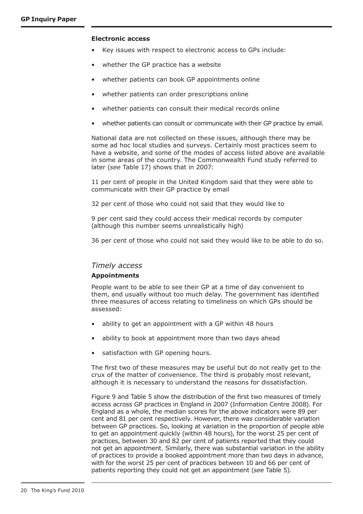#### **Electronic access**

- Key issues with respect to electronic access to GPs include:
- whether the GP practice has a website
- whether patients can book GP appointments online
- whether patients can order prescriptions online
- whether patients can consult their medical records online
- whether patients can consult or communicate with their GP practice by email.

National data are not collected on these issues, although there may be some ad hoc local studies and surveys. Certainly most practices seem to have a website, and some of the modes of access listed above are available in some areas of the country. The Commonwealth Fund study referred to later (*see* Table 17) shows that in 2007:

11 per cent of people in the United Kingdom said that they were able to communicate with their GP practice by email

32 per cent of those who could not said that they would like to

9 per cent said they could access their medical records by computer (although this number seems unrealistically high)

36 per cent of those who could not said they would like to be able to do so.

# *Timely access*

#### **Appointments**

People want to be able to see their GP at a time of day convenient to them, and usually without too much delay. The government has identified three measures of access relating to timeliness on which GPs should be assessed:

- ability to get an appointment with a GP within 48 hours
- ability to book at appointment more than two days ahead
- satisfaction with GP opening hours.

The first two of these measures may be useful but do not really get to the crux of the matter of convenience. The third is probably most relevant, although it is necessary to understand the reasons for dissatisfaction.

Figure 9 and Table 5 show the distribution of the first two measures of timely access across GP practices in England in 2007 (Information Centre 2008). For England as a whole, the median scores for the above indicators were 89 per cent and 81 per cent respectively. However, there was considerable variation between GP practices. So, looking at variation in the proportion of people able to get an appointment quickly (within 48 hours), for the worst 25 per cent of practices, between 30 and 82 per cent of patients reported that they could not get an appointment. Similarly, there was substantial variation in the ability of practices to provide a booked appointment more than two days in advance, with for the worst 25 per cent of practices between 10 and 66 per cent of patients reporting they could not get an appointment (*see* Table 5).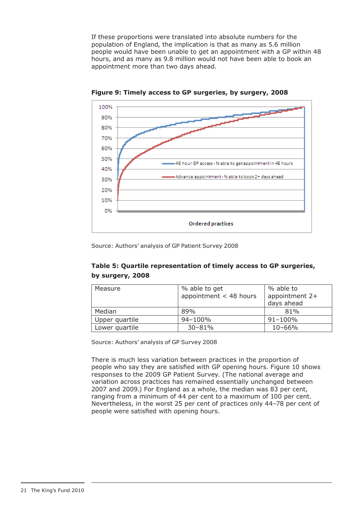If these proportions were translated into absolute numbers for the population of England, the implication is that as many as 5.6 million people would have been unable to get an appointment with a GP within 48 hours, and as many as 9.8 million would not have been able to book an appointment more than two days ahead.



**Figure 9: Timely access to GP surgeries, by surgery, 2008**

Source: Authors' analysis of GP Patient Survey 2008

# **Table 5: Quartile representation of timely access to GP surgeries, by surgery, 2008**

| Measure        | % able to get            | % able to        |
|----------------|--------------------------|------------------|
|                | appointment $<$ 48 hours | appointment $2+$ |
|                |                          | days ahead       |
| Median         | 89%                      | 81%              |
| Upper quartile | 94-100%                  | $91 - 100\%$     |
| Lower quartile | $30 - 81%$               | $10 - 66%$       |

Source: Authors' analysis of GP Survey 2008

There is much less variation between practices in the proportion of people who say they are satisfied with GP opening hours. Figure 10 shows responses to the 2009 GP Patient Survey. (The national average and variation across practices has remained essentially unchanged between 2007 and 2009.) For England as a whole, the median was 83 per cent, ranging from a minimum of 44 per cent to a maximum of 100 per cent. Nevertheless, in the worst 25 per cent of practices only 44–78 per cent of people were satisfied with opening hours.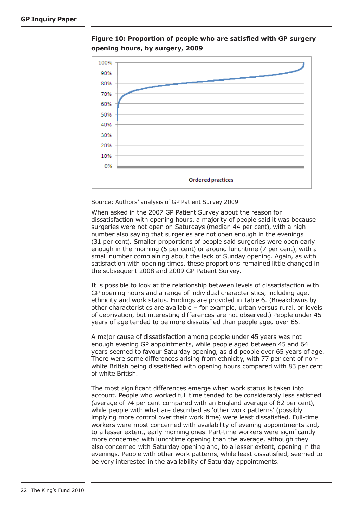

**Figure 10: Proportion of people who are satisfied with GP surgery opening hours, by surgery, 2009**

Source: Authors' analysis of GP Patient Survey 2009

When asked in the 2007 GP Patient Survey about the reason for dissatisfaction with opening hours, a majority of people said it was because surgeries were not open on Saturdays (median 44 per cent), with a high number also saying that surgeries are not open enough in the evenings (31 per cent). Smaller proportions of people said surgeries were open early enough in the morning (5 per cent) or around lunchtime (7 per cent), with a small number complaining about the lack of Sunday opening. Again, as with satisfaction with opening times, these proportions remained little changed in the subsequent 2008 and 2009 GP Patient Survey.

It is possible to look at the relationship between levels of dissatisfaction with GP opening hours and a range of individual characteristics, including age, ethnicity and work status. Findings are provided in Table 6. (Breakdowns by other characteristics are available – for example, urban versus rural, or levels of deprivation, but interesting differences are not observed.) People under 45 years of age tended to be more dissatisfied than people aged over 65.

A major cause of dissatisfaction among people under 45 years was not enough evening GP appointments, while people aged between 45 and 64 years seemed to favour Saturday opening, as did people over 65 years of age. There were some differences arising from ethnicity, with 77 per cent of nonwhite British being dissatisfied with opening hours compared with 83 per cent of white British.

The most significant differences emerge when work status is taken into account. People who worked full time tended to be considerably less satisfied (average of 74 per cent compared with an England average of 82 per cent), while people with what are described as 'other work patterns' (possibly implying more control over their work time) were least dissatisfied. Full-time workers were most concerned with availability of evening appointments and, to a lesser extent, early morning ones. Part-time workers were significantly more concerned with lunchtime opening than the average, although they also concerned with Saturday opening and, to a lesser extent, opening in the evenings. People with other work patterns, while least dissatisfied, seemed to be very interested in the availability of Saturday appointments.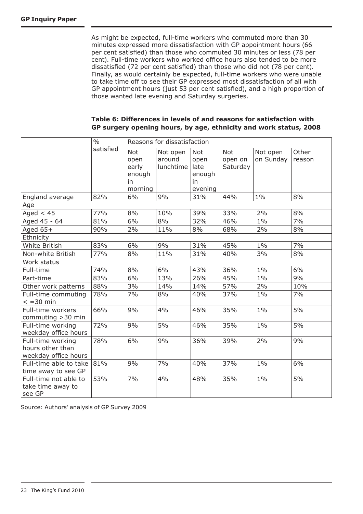As might be expected, full-time workers who commuted more than 30 minutes expressed more dissatisfaction with GP appointment hours (66 per cent satisfied) than those who commuted 30 minutes or less (78 per cent). Full-time workers who worked office hours also tended to be more dissatisfied (72 per cent satisfied) than those who did not (78 per cent). Finally, as would certainly be expected, full-time workers who were unable to take time off to see their GP expressed most dissatisfaction of all with GP appointment hours (just 53 per cent satisfied), and a high proportion of those wanted late evening and Saturday surgeries.

| Table 6: Differences in levels of and reasons for satisfaction with |  |
|---------------------------------------------------------------------|--|
| GP surgery opening hours, by age, ethnicity and work status, 2008   |  |

|                                                               | $\frac{0}{0}$ | Reasons for dissatisfaction                     |                                 |                                                       |                            |                       |                 |
|---------------------------------------------------------------|---------------|-------------------------------------------------|---------------------------------|-------------------------------------------------------|----------------------------|-----------------------|-----------------|
|                                                               | satisfied     | Not<br>open<br>early<br>enough<br>in<br>morning | Not open<br>around<br>lunchtime | <b>Not</b><br>open<br>late<br>enough<br>in<br>evening | Not<br>open on<br>Saturday | Not open<br>on Sunday | Other<br>reason |
| England average                                               | 82%           | 6%                                              | 9%                              | 31%                                                   | 44%                        | $1\%$                 | 8%              |
| Age                                                           |               |                                                 |                                 |                                                       |                            |                       |                 |
| Aged $< 45$                                                   | 77%           | 8%                                              | 10%                             | 39%                                                   | 33%                        | 2%                    | 8%              |
| Aged 45 - 64                                                  | 81%           | 6%                                              | 8%                              | 32%                                                   | 46%                        | $1\%$                 | 7%              |
| Aged $65+$                                                    | 90%           | 2%                                              | 11%                             | 8%                                                    | 68%                        | 2%                    | 8%              |
| Ethnicity                                                     |               |                                                 |                                 |                                                       |                            |                       |                 |
| White British                                                 | 83%           | 6%                                              | 9%                              | 31%                                                   | 45%                        | $1\%$                 | 7%              |
| Non-white British                                             | 77%           | 8%                                              | 11%                             | 31%                                                   | 40%                        | 3%                    | 8%              |
| Work status                                                   |               |                                                 |                                 |                                                       |                            |                       |                 |
| Full-time                                                     | 74%           | 8%                                              | 6%                              | 43%                                                   | 36%                        | $1\%$                 | 6%              |
| Part-time                                                     | 83%           | 6%                                              | 13%                             | 26%                                                   | 45%                        | $1\%$                 | 9%              |
| Other work patterns                                           | 88%           | 3%                                              | 14%                             | 14%                                                   | 57%                        | 2%                    | 10%             |
| Full-time commuting<br>$<$ =30 min                            | 78%           | 7%                                              | 8%                              | 40%                                                   | 37%                        | $1\%$                 | 7%              |
| Full-time workers<br>commuting > 30 min                       | 66%           | 9%                                              | 4%                              | 46%                                                   | 35%                        | $1\%$                 | 5%              |
| Full-time working<br>weekday office hours                     | 72%           | 9%                                              | 5%                              | 46%                                                   | 35%                        | $1\%$                 | 5%              |
| Full-time working<br>hours other than<br>weekday office hours | 78%           | 6%                                              | 9%                              | 36%                                                   | 39%                        | 2%                    | 9%              |
| Full-time able to take<br>time away to see GP                 | 81%           | 9%                                              | 7%                              | 40%                                                   | 37%                        | $1\%$                 | 6%              |
| Full-time not able to<br>take time away to<br>see GP          | 53%           | 7%                                              | 4%                              | 48%                                                   | 35%                        | $1\%$                 | 5%              |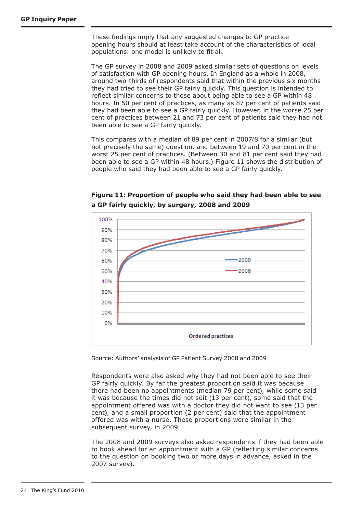These findings imply that any suggested changes to GP practice opening hours should at least take account of the characteristics of local populations: one model is unlikely to fit all.

The GP survey in 2008 and 2009 asked similar sets of questions on levels of satisfaction with GP opening hours. In England as a whole in 2008, around two-thirds of respondents said that within the previous six months they had tried to see their GP fairly quickly. This question is intended to reflect similar concerns to those about being able to see a GP within 48 hours. In 50 per cent of practices, as many as 87 per cent of patients said they had been able to see a GP fairly quickly. However, in the worse 25 per cent of practices between 21 and 73 per cent of patients said they had not been able to see a GP fairly quickly.

This compares with a median of 89 per cent in 2007/8 for a similar (but not precisely the same) question, and between 19 and 70 per cent in the worst 25 per cent of practices. (Between 30 and 81 per cent said they had been able to see a GP within 48 hours.) Figure 11 shows the distribution of people who said they had been able to see a GP fairly quickly.

# **Figure 11: Proportion of people who said they had been able to see a GP fairly quickly, by surgery, 2008 and 2009**



Source: Authors' analysis of GP Patient Survey 2008 and 2009

Respondents were also asked why they had not been able to see their GP fairly quickly. By far the greatest proportion said it was because there had been no appointments (median 79 per cent), while some said it was because the times did not suit (13 per cent), some said that the appointment offered was with a doctor they did not want to see (13 per cent), and a small proportion (2 per cent) said that the appointment offered was with a nurse. These proportions were similar in the subsequent survey, in 2009.

The 2008 and 2009 surveys also asked respondents if they had been able to book ahead for an appointment with a GP (reflecting similar concerns to the question on booking two or more days in advance, asked in the 2007 survey).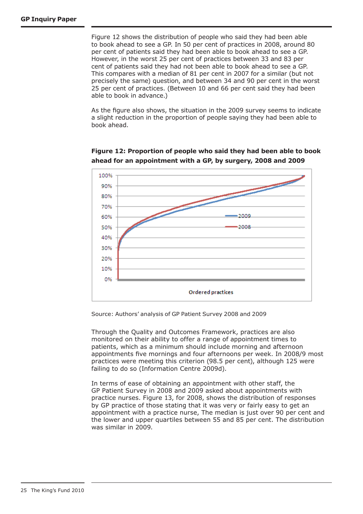Figure 12 shows the distribution of people who said they had been able to book ahead to see a GP. In 50 per cent of practices in 2008, around 80 per cent of patients said they had been able to book ahead to see a GP. However, in the worst 25 per cent of practices between 33 and 83 per cent of patients said they had not been able to book ahead to see a GP. This compares with a median of 81 per cent in 2007 for a similar (but not precisely the same) question, and between 34 and 90 per cent in the worst 25 per cent of practices. (Between 10 and 66 per cent said they had been able to book in advance.)

As the figure also shows, the situation in the 2009 survey seems to indicate a slight reduction in the proportion of people saying they had been able to book ahead.



**Figure 12: Proportion of people who said they had been able to book ahead for an appointment with a GP, by surgery, 2008 and 2009**

Source: Authors' analysis of GP Patient Survey 2008 and 2009

Through the Quality and Outcomes Framework, practices are also monitored on their ability to offer a range of appointment times to patients, which as a minimum should include morning and afternoon appointments five mornings and four afternoons per week. In 2008/9 most practices were meeting this criterion (98.5 per cent), although 125 were failing to do so (Information Centre 2009d).

In terms of ease of obtaining an appointment with other staff, the GP Patient Survey in 2008 and 2009 asked about appointments with practice nurses. Figure 13, for 2008, shows the distribution of responses by GP practice of those stating that it was very or fairly easy to get an appointment with a practice nurse. The median is just over 90 per cent and the lower and upper quartiles between 55 and 85 per cent. The distribution was similar in 2009.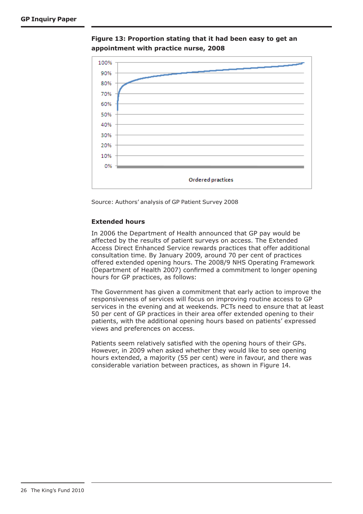

**Figure 13: Proportion stating that it had been easy to get an appointment with practice nurse, 2008**

Source: Authors' analysis of GP Patient Survey 2008

#### **Extended hours**

In 2006 the Department of Health announced that GP pay would be affected by the results of patient surveys on access. The Extended Access Direct Enhanced Service rewards practices that offer additional consultation time. By January 2009, around 70 per cent of practices offered extended opening hours. The 2008/9 NHS Operating Framework (Department of Health 2007) confirmed a commitment to longer opening hours for GP practices, as follows:

The Government has given a commitment that early action to improve the responsiveness of services will focus on improving routine access to GP services in the evening and at weekends. PCTs need to ensure that at least 50 per cent of GP practices in their area offer extended opening to their patients, with the additional opening hours based on patients' expressed views and preferences on access.

Patients seem relatively satisfied with the opening hours of their GPs. However, in 2009 when asked whether they would like to see opening hours extended, a majority (55 per cent) were in favour, and there was considerable variation between practices, as shown in Figure 14.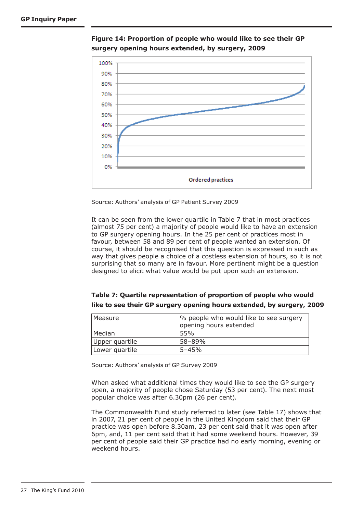

**Figure 14: Proportion of people who would like to see their GP surgery opening hours extended, by surgery, 2009**

Source: Authors' analysis of GP Patient Survey 2009

It can be seen from the lower quartile in Table 7 that in most practices (almost 75 per cent) a majority of people would like to have an extension to GP surgery opening hours. In the 25 per cent of practices most in favour, between 58 and 89 per cent of people wanted an extension. Of course, it should be recognised that this question is expressed in such as way that gives people a choice of a costless extension of hours, so it is not surprising that so many are in favour. More pertinent might be a question designed to elicit what value would be put upon such an extension.

| Table 7: Quartile representation of proportion of people who would    |  |
|-----------------------------------------------------------------------|--|
| like to see their GP surgery opening hours extended, by surgery, 2009 |  |

| l Measure      | % people who would like to see surgery |  |  |
|----------------|----------------------------------------|--|--|
|                | opening hours extended                 |  |  |
| Median         | 55%                                    |  |  |
| Upper quartile | 58-89%                                 |  |  |
| Lower quartile | $5 - 45%$                              |  |  |

Source: Authors' analysis of GP Survey 2009

When asked what additional times they would like to see the GP surgery open, a majority of people chose Saturday (53 per cent). The next most popular choice was after 6.30pm (26 per cent).

The Commonwealth Fund study referred to later (*see* Table 17) shows that in 2007, 21 per cent of people in the United Kingdom said that their GP practice was open before 8.30am, 23 per cent said that it was open after 6pm, and, 11 per cent said that it had some weekend hours. However, 39 per cent of people said their GP practice had no early morning, evening or weekend hours.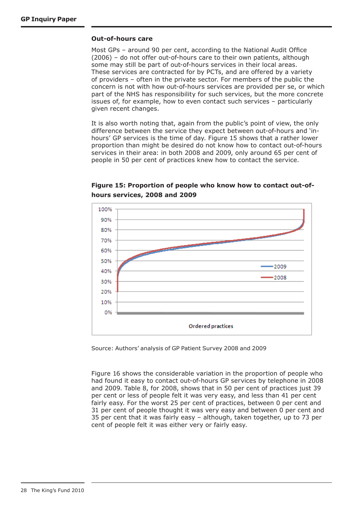#### **Out-of-hours care**

Most GPs – around 90 per cent, according to the National Audit Office (2006) – do not offer out-of-hours care to their own patients, although some may still be part of out-of-hours services in their local areas. These services are contracted for by PCTs, and are offered by a variety of providers – often in the private sector. For members of the public the concern is not with how out-of-hours services are provided per se, or which part of the NHS has responsibility for such services, but the more concrete issues of, for example, how to even contact such services – particularly given recent changes.

It is also worth noting that, again from the public's point of view, the only difference between the service they expect between out-of-hours and 'inhours' GP services is the time of day. Figure 15 shows that a rather lower proportion than might be desired do not know how to contact out-of-hours services in their area: in both 2008 and 2009, only around 65 per cent of people in 50 per cent of practices knew how to contact the service.



**Figure 15: Proportion of people who know how to contact out-ofhours services, 2008 and 2009**

Source: Authors' analysis of GP Patient Survey 2008 and 2009

Figure 16 shows the considerable variation in the proportion of people who had found it easy to contact out-of-hours GP services by telephone in 2008 and 2009. Table 8, for 2008, shows that in 50 per cent of practices just 39 per cent or less of people felt it was very easy, and less than 41 per cent fairly easy. For the worst 25 per cent of practices, between 0 per cent and 31 per cent of people thought it was very easy and between 0 per cent and 35 per cent that it was fairly easy – although, taken together, up to 73 per cent of people felt it was either very or fairly easy.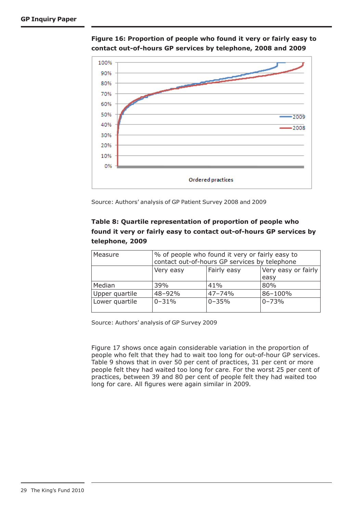

**Figure 16: Proportion of people who found it very or fairly easy to contact out-of-hours GP services by telephone, 2008 and 2009**

Source: Authors' analysis of GP Patient Survey 2008 and 2009

# **Table 8: Quartile representation of proportion of people who found it very or fairly easy to contact out-of-hours GP services by telephone, 2009**

| Measure        | % of people who found it very or fairly easy to<br>contact out-of-hours GP services by telephone |            |           |  |  |
|----------------|--------------------------------------------------------------------------------------------------|------------|-----------|--|--|
|                | Fairly easy<br>Very easy or fairly<br>Very easy                                                  |            |           |  |  |
|                |                                                                                                  |            | easy      |  |  |
| Median         | 39%                                                                                              | 41%        | 80%       |  |  |
| Upper quartile | 48-92%                                                                                           | $47 - 74%$ | 86-100%   |  |  |
| Lower quartile | $0 - 31%$                                                                                        | $0 - 35%$  | $0 - 73%$ |  |  |

Source: Authors' analysis of GP Survey 2009

Figure 17 shows once again considerable variation in the proportion of people who felt that they had to wait too long for out-of-hour GP services. Table 9 shows that in over 50 per cent of practices, 31 per cent or more people felt they had waited too long for care. For the worst 25 per cent of practices, between 39 and 80 per cent of people felt they had waited too long for care. All figures were again similar in 2009.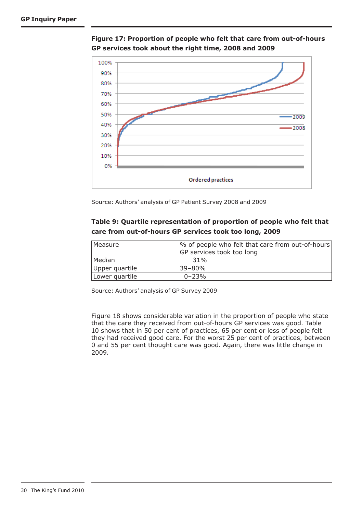



Source: Authors' analysis of GP Patient Survey 2008 and 2009

# **Table 9: Quartile representation of proportion of people who felt that care from out-of-hours GP services took too long, 2009**

| Measure        | % of people who felt that care from out-of-hours<br>GP services took too long |
|----------------|-------------------------------------------------------------------------------|
| Median         | 31%                                                                           |
| Upper quartile | $39 - 80%$                                                                    |
| Lower quartile | $0 - 23%$                                                                     |

Source: Authors' analysis of GP Survey 2009

Figure 18 shows considerable variation in the proportion of people who state that the care they received from out-of-hours GP services was good. Table 10 shows that in 50 per cent of practices, 65 per cent or less of people felt they had received good care. For the worst 25 per cent of practices, between 0 and 55 per cent thought care was good. Again, there was little change in 2009.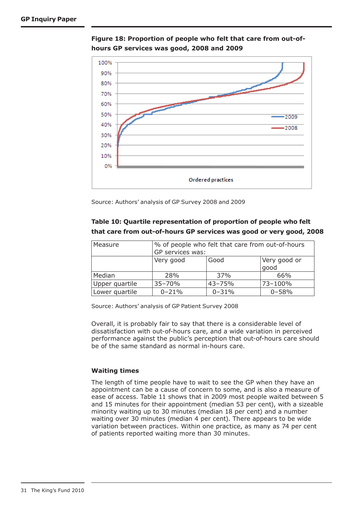

**Figure 18: Proportion of people who felt that care from out-ofhours GP services was good, 2008 and 2009**

Source: Authors' analysis of GP Survey 2008 and 2009

# **Table 10: Quartile representation of proportion of people who felt that care from out-of-hours GP services was good or very good, 2008**

| Measure        | % of people who felt that care from out-of-hours<br>GP services was: |            |           |  |
|----------------|----------------------------------------------------------------------|------------|-----------|--|
|                | Very good<br>Good<br>Very good or<br>good                            |            |           |  |
| Median         | 28%                                                                  | 37%        | 66%       |  |
| Upper quartile | $35 - 70%$                                                           | $43 - 75%$ | 73-100%   |  |
| Lower quartile | $0 - 21%$                                                            | $0 - 31%$  | $0 - 58%$ |  |

Source: Authors' analysis of GP Patient Survey 2008

Overall, it is probably fair to say that there is a considerable level of dissatisfaction with out-of-hours care, and a wide variation in perceived performance against the public's perception that out-of-hours care should be of the same standard as normal in-hours care.

#### **Waiting times**

The length of time people have to wait to see the GP when they have an appointment can be a cause of concern to some, and is also a measure of ease of access. Table 11 shows that in 2009 most people waited between 5 and 15 minutes for their appointment (median 53 per cent), with a sizeable minority waiting up to 30 minutes (median 18 per cent) and a number waiting over 30 minutes (median 4 per cent). There appears to be wide variation between practices. Within one practice, as many as 74 per cent of patients reported waiting more than 30 minutes.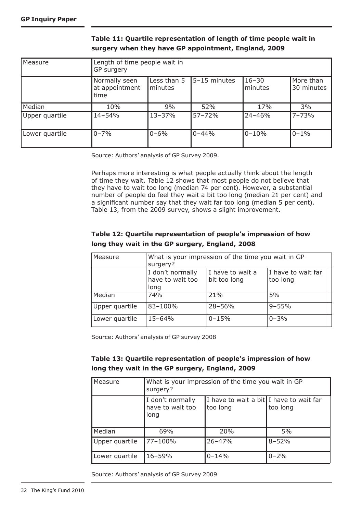| Measure        | Length of time people wait in<br>GP surgery |                        |              |                      |                         |
|----------------|---------------------------------------------|------------------------|--------------|----------------------|-------------------------|
|                | Normally seen<br>at appointment<br>time     | Less than 5<br>minutes | 5-15 minutes | $16 - 30$<br>minutes | More than<br>30 minutes |
| Median         | 10%                                         | 9%                     | 52%          | 17%                  | 3%                      |
| Upper quartile | $14 - 54%$                                  | $13 - 37%$             | 57-72%       | $24 - 46%$           | 17-73%                  |
| Lower quartile | $0 - 7%$                                    | $0 - 6\%$              | $0 - 44%$    | $0 - 10%$            | $10 - 1\%$              |

# **Table 11: Quartile representation of length of time people wait in surgery when they have GP appointment, England, 2009**

Source: Authors' analysis of GP Survey 2009.

Perhaps more interesting is what people actually think about the length of time they wait. Table 12 shows that most people do not believe that they have to wait too long (median 74 per cent). However, a substantial number of people do feel they wait a bit too long (median 21 per cent) and a significant number say that they wait far too long (median 5 per cent). Table 13, from the 2009 survey, shows a slight improvement.

# **Table 12: Quartile representation of people's impression of how long they wait in the GP surgery, England, 2008**

| Measure        | What is your impression of the time you wait in GP<br>surgery? |                                  |                                |  |
|----------------|----------------------------------------------------------------|----------------------------------|--------------------------------|--|
|                | I don't normally<br>have to wait too<br>long                   | I have to wait a<br>bit too long | I have to wait far<br>too long |  |
| Median         | 74%                                                            | 21%                              | 5%                             |  |
| Upper quartile | 83-100%                                                        | 28-56%                           | $9 - 55%$                      |  |
| Lower quartile | $15 - 64%$                                                     | $0 - 15%$                        | $0 - 3%$                       |  |

Source: Authors' analysis of GP survey 2008

# **Table 13: Quartile representation of people's impression of how long they wait in the GP surgery, England, 2009**

| Measure        | What is your impression of the time you wait in GP<br>surgery? |                                                     |           |
|----------------|----------------------------------------------------------------|-----------------------------------------------------|-----------|
|                | I don't normally<br>have to wait too<br>long                   | I have to wait a bit I have to wait far<br>too long | too long  |
| Median         | 69%                                                            | 20%                                                 | 5%        |
| Upper quartile | 77-100%                                                        | $26 - 47%$                                          | $8 - 52%$ |
| Lower quartile | 16-59%                                                         | $0 - 14%$                                           | $0 - 2%$  |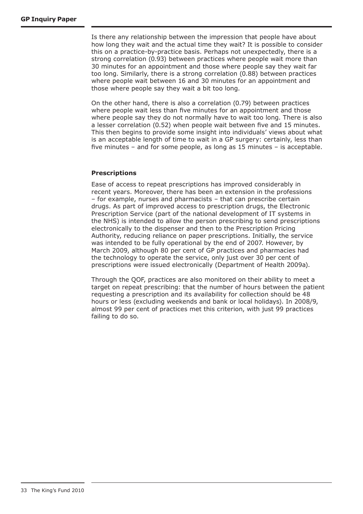Is there any relationship between the impression that people have about how long they wait and the actual time they wait? It is possible to consider this on a practice-by-practice basis. Perhaps not unexpectedly, there is a strong correlation (0.93) between practices where people wait more than 30 minutes for an appointment and those where people say they wait far too long. Similarly, there is a strong correlation (0.88) between practices where people wait between 16 and 30 minutes for an appointment and those where people say they wait a bit too long.

On the other hand, there is also a correlation (0.79) between practices where people wait less than five minutes for an appointment and those where people say they do not normally have to wait too long. There is also a lesser correlation (0.52) when people wait between five and 15 minutes. This then begins to provide some insight into individuals' views about what is an acceptable length of time to wait in a GP surgery: certainly, less than five minutes – and for some people, as long as 15 minutes – is acceptable.

# **Prescriptions**

Ease of access to repeat prescriptions has improved considerably in recent years. Moreover, there has been an extension in the professions – for example, nurses and pharmacists – that can prescribe certain drugs. As part of improved access to prescription drugs, the Electronic Prescription Service (part of the national development of IT systems in the NHS) is intended to allow the person prescribing to send prescriptions electronically to the dispenser and then to the Prescription Pricing Authority, reducing reliance on paper prescriptions. Initially, the service was intended to be fully operational by the end of 2007. However, by March 2009, although 80 per cent of GP practices and pharmacies had the technology to operate the service, only just over 30 per cent of prescriptions were issued electronically (Department of Health 2009a).

Through the QOF, practices are also monitored on their ability to meet a target on repeat prescribing: that the number of hours between the patient requesting a prescription and its availability for collection should be 48 hours or less (excluding weekends and bank or local holidays). In 2008/9, almost 99 per cent of practices met this criterion, with just 99 practices failing to do so.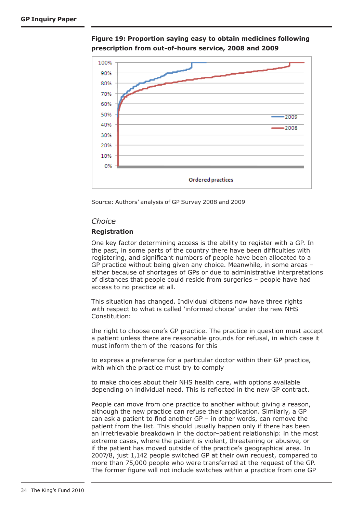

**Figure 19: Proportion saying easy to obtain medicines following prescription from out-of-hours service, 2008 and 2009**

Source: Authors' analysis of GP Survey 2008 and 2009

#### *Choice*

#### **Registration**

One key factor determining access is the ability to register with a GP. In the past, in some parts of the country there have been difficulties with registering, and significant numbers of people have been allocated to a GP practice without being given any choice. Meanwhile, in some areas – either because of shortages of GPs or due to administrative interpretations of distances that people could reside from surgeries – people have had access to no practice at all.

This situation has changed. Individual citizens now have three rights with respect to what is called 'informed choice' under the new NHS Constitution:

the right to choose one's GP practice. The practice in question must accept a patient unless there are reasonable grounds for refusal, in which case it must inform them of the reasons for this

to express a preference for a particular doctor within their GP practice, with which the practice must try to comply

to make choices about their NHS health care, with options available depending on individual need. This is reflected in the new GP contract.

People can move from one practice to another without giving a reason, although the new practice can refuse their application. Similarly, a GP can ask a patient to find another  $GP - in$  other words, can remove the patient from the list. This should usually happen only if there has been an irretrievable breakdown in the doctor–patient relationship: in the most extreme cases, where the patient is violent, threatening or abusive, or if the patient has moved outside of the practice's geographical area. In 2007/8, just 1,142 people switched GP at their own request, compared to more than 75,000 people who were transferred at the request of the GP. The former figure will not include switches within a practice from one GP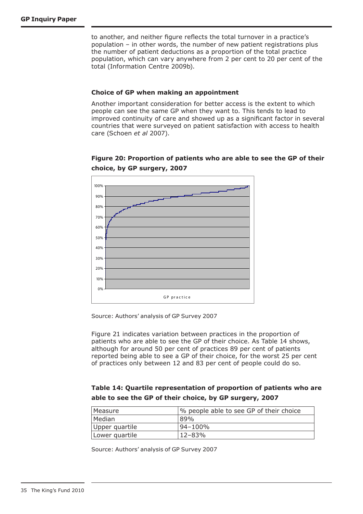to another, and neither figure reflects the total turnover in a practice's population – in other words, the number of new patient registrations plus the number of patient deductions as a proportion of the total practice population, which can vary anywhere from 2 per cent to 20 per cent of the total (Information Centre 2009b).

#### **Choice of GP when making an appointment**

Another important consideration for better access is the extent to which people can see the same GP when they want to. This tends to lead to improved continuity of care and showed up as a significant factor in several countries that were surveyed on patient satisfaction with access to health care (Schoen *et al* 2007).

# **Figure 20: Proportion of patients who are able to see the GP of their choice, by GP surgery, 2007**



Source: Authors' analysis of GP Survey 2007

Figure 21 indicates variation between practices in the proportion of patients who are able to see the GP of their choice. As Table 14 shows, although for around 50 per cent of practices 89 per cent of patients reported being able to see a GP of their choice, for the worst 25 per cent of practices only between 12 and 83 per cent of people could do so.

# **Table 14: Quartile representation of proportion of patients who are able to see the GP of their choice, by GP surgery, 2007**

| Measure        | % people able to see GP of their choice |
|----------------|-----------------------------------------|
| Median         | 89%                                     |
| Upper quartile | 94–100%                                 |
| Lower quartile | $12 - 83%$                              |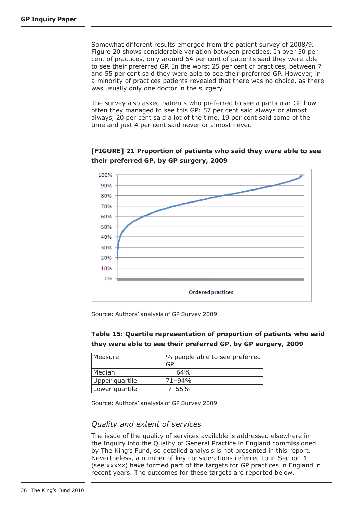Somewhat different results emerged from the patient survey of 2008/9. Figure 20 shows considerable variation between practices. In over 50 per cent of practices, only around 64 per cent of patients said they were able to see their preferred GP. In the worst 25 per cent of practices, between 7 and 55 per cent said they were able to see their preferred GP. However, in a minority of practices patients revealed that there was no choice, as there was usually only one doctor in the surgery.

The survey also asked patients who preferred to see a particular GP how often they managed to see this GP: 57 per cent said always or almost always, 20 per cent said a lot of the time, 19 per cent said some of the time and just 4 per cent said never or almost never.



**[FIGURE] 21 Proportion of patients who said they were able to see their preferred GP, by GP surgery, 2009**

Source: Authors' analysis of GP Survey 2009

# **Table 15: Quartile representation of proportion of patients who said they were able to see their preferred GP, by GP surgery, 2009**

| l Measure      | % people able to see preferred<br>GP |
|----------------|--------------------------------------|
| Median         | 64%                                  |
| Upper quartile | $71 - 94\%$                          |
| Lower quartile | $7 - 55%$                            |

Source: Authors' analysis of GP Survey 2009

# *Quality and extent of services*

The issue of the quality of services available is addressed elsewhere in the Inquiry into the Quality of General Practice in England commissioned by The King's Fund, so detailed analysis is not presented in this report. Nevertheless, a number of key considerations referred to in Section 1 (see xxxxx) have formed part of the targets for GP practices in England in recent years. The outcomes for these targets are reported below.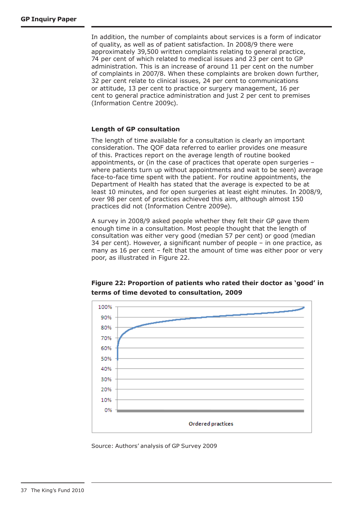In addition, the number of complaints about services is a form of indicator of quality, as well as of patient satisfaction. In 2008/9 there were approximately 39,500 written complaints relating to general practice, 74 per cent of which related to medical issues and 23 per cent to GP administration. This is an increase of around 11 per cent on the number of complaints in 2007/8. When these complaints are broken down further, 32 per cent relate to clinical issues, 24 per cent to communications or attitude, 13 per cent to practice or surgery management, 16 per cent to general practice administration and just 2 per cent to premises (Information Centre 2009c).

#### **Length of GP consultation**

The length of time available for a consultation is clearly an important consideration. The QOF data referred to earlier provides one measure of this. Practices report on the average length of routine booked appointments, or (in the case of practices that operate open surgeries – where patients turn up without appointments and wait to be seen) average face-to-face time spent with the patient. For routine appointments, the Department of Health has stated that the average is expected to be at least 10 minutes, and for open surgeries at least eight minutes. In 2008/9, over 98 per cent of practices achieved this aim, although almost 150 practices did not (Information Centre 2009e).

A survey in 2008/9 asked people whether they felt their GP gave them enough time in a consultation. Most people thought that the length of consultation was either very good (median 57 per cent) or good (median 34 per cent). However, a significant number of people – in one practice, as many as 16 per cent – felt that the amount of time was either poor or very poor, as illustrated in Figure 22.



**Figure 22: Proportion of patients who rated their doctor as 'good' in terms of time devoted to consultation, 2009**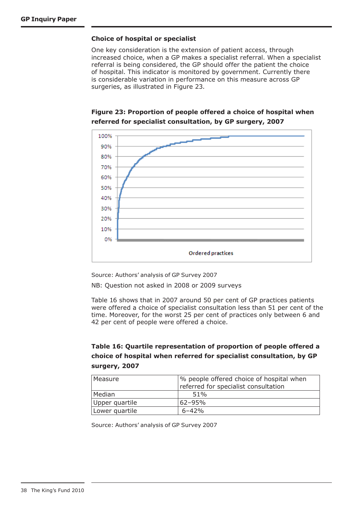#### **Choice of hospital or specialist**

One key consideration is the extension of patient access, through increased choice, when a GP makes a specialist referral. When a specialist referral is being considered, the GP should offer the patient the choice of hospital. This indicator is monitored by government. Currently there is considerable variation in performance on this measure across GP surgeries, as illustrated in Figure 23.





Source: Authors' analysis of GP Survey 2007

NB: Question not asked in 2008 or 2009 surveys

Table 16 shows that in 2007 around 50 per cent of GP practices patients were offered a choice of specialist consultation less than 51 per cent of the time. Moreover, for the worst 25 per cent of practices only between 6 and 42 per cent of people were offered a choice.

# **Table 16: Quartile representation of proportion of people offered a choice of hospital when referred for specialist consultation, by GP surgery, 2007**

| Measure        | % people offered choice of hospital when |
|----------------|------------------------------------------|
|                | referred for specialist consultation     |
| Median         | 51%                                      |
| Upper quartile | $62 - 95%$                               |
| Lower quartile | $6 - 42%$                                |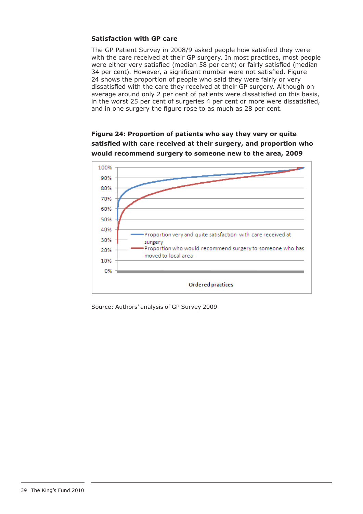### **Satisfaction with GP care**

The GP Patient Survey in 2008/9 asked people how satisfied they were with the care received at their GP surgery. In most practices, most people were either very satisfied (median 58 per cent) or fairly satisfied (median 34 per cent). However, a significant number were not satisfied. Figure 24 shows the proportion of people who said they were fairly or very dissatisfied with the care they received at their GP surgery. Although on average around only 2 per cent of patients were dissatisfied on this basis, in the worst 25 per cent of surgeries 4 per cent or more were dissatisfied, and in one surgery the figure rose to as much as 28 per cent.

**Figure 24: Proportion of patients who say they very or quite satisfied with care received at their surgery, and proportion who would recommend surgery to someone new to the area, 2009** 

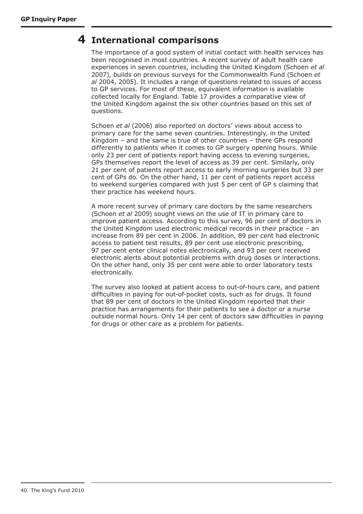# **International comparisons 4**

The importance of a good system of initial contact with health services has been recognised in most countries. A recent survey of adult health care experiences in seven countries, including the United Kingdom (Schoen *et al* 2007), builds on previous surveys for the Commonwealth Fund (Schoen *et al* 2004, 2005). It includes a range of questions related to issues of access to GP services. For most of these, equivalent information is available collected locally for England. Table 17 provides a comparative view of the United Kingdom against the six other countries based on this set of questions.

Schoen *et al* (2006) also reported on doctors' views about access to primary care for the same seven countries. Interestingly, in the United Kingdom – and the same is true of other countries – there GPs respond differently to patients when it comes to GP surgery opening hours. While only 23 per cent of patients report having access to evening surgeries, GPs themselves report the level of access as 39 per cent. Similarly, only 21 per cent of patients report access to early morning surgeries but 33 per cent of GPs do. On the other hand, 11 per cent of patients report access to weekend surgeries compared with just 5 per cent of GP s claiming that their practice has weekend hours.

A more recent survey of primary care doctors by the same researchers (Schoen *et al* 2009) sought views on the use of IT in primary care to improve patient access. According to this survey, 96 per cent of doctors in the United Kingdom used electronic medical records in their practice – an increase from 89 per cent in 2006. In addition, 89 per cent had electronic access to patient test results, 89 per cent use electronic prescribing, 97 per cent enter clinical notes electronically, and 93 per cent received electronic alerts about potential problems with drug doses or interactions. On the other hand, only 35 per cent were able to order laboratory tests electronically.

The survey also looked at patient access to out-of-hours care, and patient difficulties in paying for out-of-pocket costs, such as for drugs. It found that 89 per cent of doctors in the United Kingdom reported that their practice has arrangements for their patients to see a doctor or a nurse outside normal hours. Only 14 per cent of doctors saw difficulties in paying for drugs or other care as a problem for patients.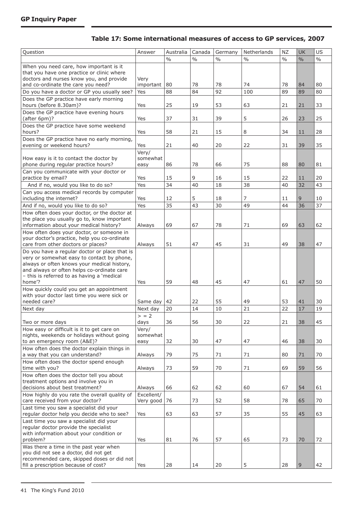| Table 17: Some international measures of access to GP services, 2007 |  |  |
|----------------------------------------------------------------------|--|--|
|----------------------------------------------------------------------|--|--|

| Question                                                                                | Answer     | Australia     | Canada        | Germany       | Netherlands   | <b>NZ</b>     | <b>UK</b>     | US            |
|-----------------------------------------------------------------------------------------|------------|---------------|---------------|---------------|---------------|---------------|---------------|---------------|
|                                                                                         |            | $\frac{0}{0}$ | $\frac{0}{0}$ | $\frac{0}{0}$ | $\frac{0}{0}$ | $\frac{0}{0}$ | $\frac{0}{0}$ | $\frac{0}{0}$ |
| When you need care, how important is it                                                 |            |               |               |               |               |               |               |               |
| that you have one practice or clinic where                                              |            |               |               |               |               |               |               |               |
| doctors and nurses know you, and provide                                                | Very       |               |               |               |               |               |               |               |
| and co-ordinate the care you need?                                                      | important  | 80            | 78            | 78            | 74            | 78            | 84            | 80            |
| Do you have a doctor or GP you usually see?                                             | Yes        | 88            | 84            | 92            | 100           | 89            | 89            | 80            |
| Does the GP practice have early morning                                                 |            |               |               |               |               |               |               |               |
| hours (before 8.30am)?                                                                  | Yes        | 25            | 19            | 53            | 63            | 21            | 21            | 33            |
| Does the GP practice have evening hours<br>(after 6pm)?                                 | Yes        | 37            | 31            | 39            | 5             | 26            | 23            | 25            |
| Does the GP practice have some weekend                                                  |            |               |               |               |               |               |               |               |
| hours?                                                                                  | Yes        | 58            | 21            | 15            | 8             | 34            | 11            | 28            |
| Does the GP practice have no early morning,                                             |            |               |               |               |               |               |               |               |
| evening or weekend hours?                                                               | Yes        | 21            | 40            | 20            | 22            | 31            | 39            | 35            |
|                                                                                         | Very/      |               |               |               |               |               |               |               |
| How easy is it to contact the doctor by                                                 | somewhat   |               |               |               |               |               |               |               |
| phone during regular practice hours?                                                    | easy       | 86            | 78            | 66            | 75            | 88            | 80            | 81            |
| Can you communicate with your doctor or                                                 |            |               |               |               |               |               |               |               |
| practice by email?                                                                      | Yes        | 15            | 9             | 16            | 15            | 22            | 11            | 20            |
| And if no, would you like to do so?                                                     | Yes        | 34            | 40            | 18            | 38            | 40            | 32            | 43            |
| Can you access medical records by computer                                              |            |               |               |               |               |               |               |               |
| including the internet?                                                                 | Yes        | 12            | 5             | 18            | 7             | 11            | 9             | 10            |
| And if no, would you like to do so?                                                     | Yes        | 35            | 43            | 30            | 49            | 44            | 36            | 37            |
| How often does your doctor, or the doctor at                                            |            |               |               |               |               |               |               |               |
| the place you usually go to, know important<br>information about your medical history?  | Always     | 69            | 67            | 78            | 71            | 69            | 63            | 62            |
| How often does your doctor, or someone in                                               |            |               |               |               |               |               |               |               |
| your doctor's practice, help you co-ordinate                                            |            |               |               |               |               |               |               |               |
| care from other doctors or places?                                                      | Always     | 51            | 47            | 45            | 31            | 49            | 38            | 47            |
| Do you have a regular doctor or place that is                                           |            |               |               |               |               |               |               |               |
| very or somewhat easy to contact by phone,                                              |            |               |               |               |               |               |               |               |
| always or often knows your medical history,                                             |            |               |               |               |               |               |               |               |
| and always or often helps co-ordinate care                                              |            |               |               |               |               |               |               |               |
| - this is referred to as having a 'medical                                              |            |               |               |               |               |               |               |               |
| home'?                                                                                  | Yes        | 59            | 48            | 45            | 47            | 61            | 47            | 50            |
| How quickly could you get an appointment<br>with your doctor last time you were sick or |            |               |               |               |               |               |               |               |
| needed care?                                                                            | Same day   | 42            | 22            | 55            | 49            | 53            | 41            | 30            |
| Next day                                                                                | Next day   | 20            | 14            | 10            | 21            | 22            | 17            | 19            |
|                                                                                         | > 2        |               |               |               |               |               |               |               |
| Two or more days                                                                        | days       | 36            | 56            | 30            | 22            | 21            | 38            | 45            |
| How easy or difficult is it to get care on                                              | Very/      |               |               |               |               |               |               |               |
| nights, weekends or holidays without going                                              | somewhat   |               |               |               |               |               |               |               |
| to an emergency room (A&E)?                                                             | easy       | 32            | 30            | 47            | 47            | 46            | 38            | 30            |
| How often does the doctor explain things in                                             |            |               |               |               |               |               |               |               |
| a way that you can understand?                                                          | Always     | 79            | 75            | 71            | 71            | 80            | 71            | 70            |
| How often does the doctor spend enough                                                  |            |               |               |               |               |               |               |               |
| time with you?                                                                          | Always     | 73            | 59            | 70            | 71            | 69            | 59            | 56            |
| How often does the doctor tell you about                                                |            |               |               |               |               |               |               |               |
| treatment options and involve you in<br>decisions about best treatment?                 | Always     | 66            | 62            | 62            | 60            | 67            | 54            | 61            |
| How highly do you rate the overall quality of                                           | Excellent/ |               |               |               |               |               |               |               |
| care received from your doctor?                                                         | Very good  | 76            | 73            | 52            | 58            | 78            | 65            | 70            |
| Last time you saw a specialist did your                                                 |            |               |               |               |               |               |               |               |
| regular doctor help you decide who to see?                                              | Yes        | 63            | 63            | 57            | 35            | 55            | 45            | 63            |
| Last time you saw a specialist did your                                                 |            |               |               |               |               |               |               |               |
| regular doctor provide the specialist                                                   |            |               |               |               |               |               |               |               |
| with information about your condition or                                                |            |               |               |               |               |               |               |               |
| problem?                                                                                | Yes        | 81            | 76            | 57            | 65            | 73            | 70            | 72            |
| Was there a time in the past year when                                                  |            |               |               |               |               |               |               |               |
| you did not see a doctor, did not get                                                   |            |               |               |               |               |               |               |               |
| recommended care, skipped doses or did not<br>fill a prescription because of cost?      | Yes        | 28            | 14            | 20            | 5             | 28            | 9             | 42            |
|                                                                                         |            |               |               |               |               |               |               |               |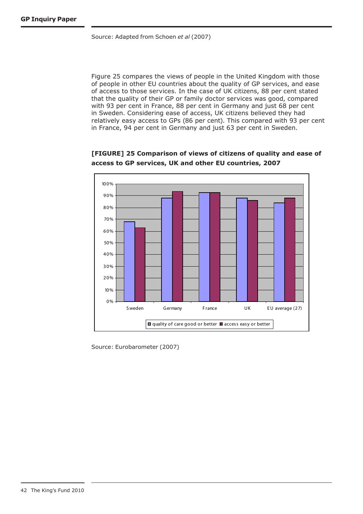Source: Adapted from Schoen *et al* (2007)

Figure 25 compares the views of people in the United Kingdom with those of people in other EU countries about the quality of GP services, and ease of access to those services. In the case of UK citizens, 88 per cent stated that the quality of their GP or family doctor services was good, compared with 93 per cent in France, 88 per cent in Germany and just 68 per cent in Sweden. Considering ease of access, UK citizens believed they had relatively easy access to GPs (86 per cent). This compared with 93 per cent in France, 94 per cent in Germany and just 63 per cent in Sweden.



**[FIGURE] 25 Comparison of views of citizens of quality and ease of access to GP services, UK and other EU countries, 2007**

Source: Eurobarometer (2007)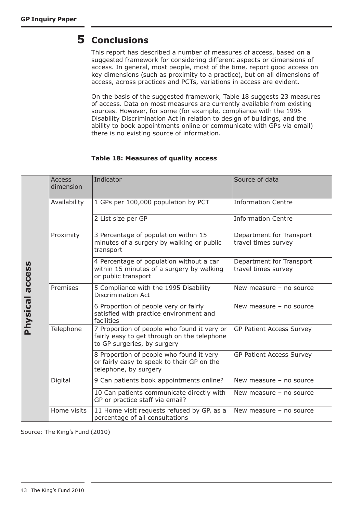# **Conclusions 5**

This report has described a number of measures of access, based on a suggested framework for considering different aspects or dimensions of access. In general, most people, most of the time, report good access on key dimensions (such as proximity to a practice), but on all dimensions of access, across practices and PCTs, variations in access are evident.

On the basis of the suggested framework, Table 18 suggests 23 measures of access. Data on most measures are currently available from existing sources. However, for some (for example, compliance with the 1995 Disability Discrimination Act in relation to design of buildings, and the ability to book appointments online or communicate with GPs via email) there is no existing source of information.

# **Table 18: Measures of quality access**

|                 | <b>Access</b><br>dimension | Indicator                                                                                                                 | Source of data                                  |
|-----------------|----------------------------|---------------------------------------------------------------------------------------------------------------------------|-------------------------------------------------|
|                 | Availability               | 1 GPs per 100,000 population by PCT                                                                                       | <b>Information Centre</b>                       |
|                 |                            | 2 List size per GP                                                                                                        | <b>Information Centre</b>                       |
|                 | Proximity                  | 3 Percentage of population within 15<br>minutes of a surgery by walking or public<br>transport                            | Department for Transport<br>travel times survey |
| access          |                            | 4 Percentage of population without a car<br>within 15 minutes of a surgery by walking<br>or public transport              | Department for Transport<br>travel times survey |
|                 | Premises                   | 5 Compliance with the 1995 Disability<br><b>Discrimination Act</b>                                                        | New measure $-$ no source                       |
| <b>Physical</b> |                            | 6 Proportion of people very or fairly<br>satisfied with practice environment and<br>facilities                            | New measure $-$ no source                       |
|                 | Telephone                  | 7 Proportion of people who found it very or<br>fairly easy to get through on the telephone<br>to GP surgeries, by surgery | <b>GP Patient Access Survey</b>                 |
|                 |                            | 8 Proportion of people who found it very<br>or fairly easy to speak to their GP on the<br>telephone, by surgery           | <b>GP Patient Access Survey</b>                 |
|                 | Digital                    | 9 Can patients book appointments online?                                                                                  | New measure - no source                         |
|                 |                            | 10 Can patients communicate directly with<br>GP or practice staff via email?                                              | New measure $-$ no source                       |
|                 | Home visits                | 11 Home visit requests refused by GP, as a<br>percentage of all consultations                                             | New measure $-$ no source                       |

Source: The King's Fund (2010)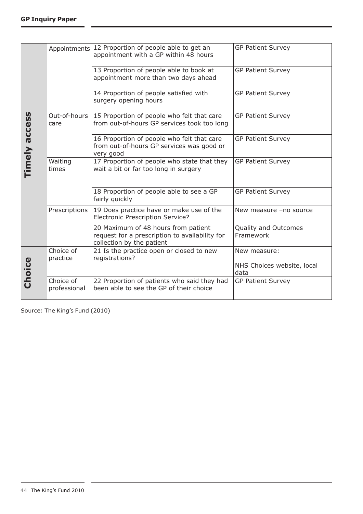|               | Appointments              | 12 Proportion of people able to get an<br>appointment with a GP within 48 hours                                    | <b>GP Patient Survey</b>                           |
|---------------|---------------------------|--------------------------------------------------------------------------------------------------------------------|----------------------------------------------------|
|               |                           | 13 Proportion of people able to book at<br>appointment more than two days ahead                                    | <b>GP Patient Survey</b>                           |
|               |                           | 14 Proportion of people satisfied with<br>surgery opening hours                                                    | <b>GP Patient Survey</b>                           |
|               | Out-of-hours<br>care      | 15 Proportion of people who felt that care<br>from out-of-hours GP services took too long                          | <b>GP Patient Survey</b>                           |
| Timely access |                           | 16 Proportion of people who felt that care<br>from out-of-hours GP services was good or<br>very good               | <b>GP Patient Survey</b>                           |
|               | Waiting<br>times          | 17 Proportion of people who state that they<br>wait a bit or far too long in surgery                               | <b>GP Patient Survey</b>                           |
|               |                           | 18 Proportion of people able to see a GP<br>fairly quickly                                                         | <b>GP Patient Survey</b>                           |
|               | Prescriptions             | 19 Does practice have or make use of the<br><b>Electronic Prescription Service?</b>                                | New measure -no source                             |
|               |                           | 20 Maximum of 48 hours from patient<br>request for a prescription to availability for<br>collection by the patient | Quality and Outcomes<br>Framework                  |
| Choice        | Choice of<br>practice     | 21 Is the practice open or closed to new<br>registrations?                                                         | New measure:<br>NHS Choices website, local<br>data |
|               | Choice of<br>professional | 22 Proportion of patients who said they had<br>been able to see the GP of their choice                             | <b>GP Patient Survey</b>                           |

Source: The King's Fund (2010)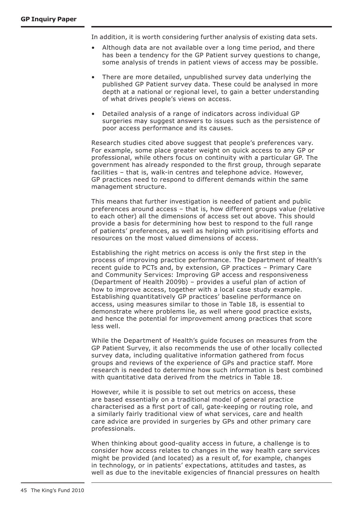In addition, it is worth considering further analysis of existing data sets.

- Although data are not available over a long time period, and there has been a tendency for the GP Patient survey questions to change, some analysis of trends in patient views of access may be possible.
- There are more detailed, unpublished survey data underlying the published GP Patient survey data. These could be analysed in more depth at a national or regional level, to gain a better understanding of what drives people's views on access.
- • Detailed analysis of a range of indicators across individual GP surgeries may suggest answers to issues such as the persistence of poor access performance and its causes.

Research studies cited above suggest that people's preferences vary. For example, some place greater weight on quick access to any GP or professional, while others focus on continuity with a particular GP. The government has already responded to the first group, through separate facilities – that is, walk-in centres and telephone advice. However, GP practices need to respond to different demands within the same management structure.

This means that further investigation is needed of patient and public preferences around access – that is, how different groups value (relative to each other) all the dimensions of access set out above. This should provide a basis for determining how best to respond to the full range of patients' preferences, as well as helping with prioritising efforts and resources on the most valued dimensions of access.

Establishing the right metrics on access is only the first step in the process of improving practice performance. The Department of Health's recent guide to PCTs and, by extension, GP practices – Primary Care and Community Services: Improving GP access and responsiveness (Department of Health 2009b) – provides a useful plan of action of how to improve access, together with a local case study example. Establishing quantitatively GP practices' baseline performance on access, using measures similar to those in Table 18, is essential to demonstrate where problems lie, as well where good practice exists, and hence the potential for improvement among practices that score less well.

While the Department of Health's guide focuses on measures from the GP Patient Survey, it also recommends the use of other locally collected survey data, including qualitative information gathered from focus groups and reviews of the experience of GPs and practice staff. More research is needed to determine how such information is best combined with quantitative data derived from the metrics in Table 18.

However, while it is possible to set out metrics on access, these are based essentially on a traditional model of general practice characterised as a first port of call, gate-keeping or routing role, and a similarly fairly traditional view of what services, care and health care advice are provided in surgeries by GPs and other primary care professionals.

When thinking about good-quality access in future, a challenge is to consider how access relates to changes in the way health care services might be provided (and located) as a result of, for example, changes in technology, or in patients' expectations, attitudes and tastes, as well as due to the inevitable exigencies of financial pressures on health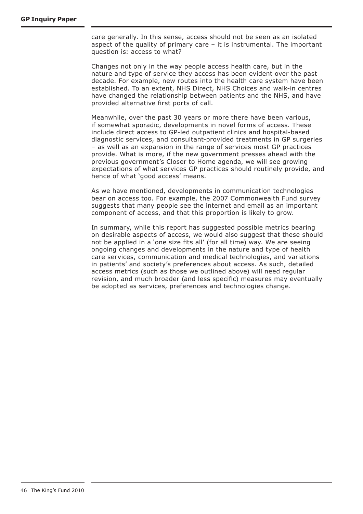care generally. In this sense, access should not be seen as an isolated aspect of the quality of primary care – it is instrumental. The important question is: access to what?

Changes not only in the way people access health care, but in the nature and type of service they access has been evident over the past decade. For example, new routes into the health care system have been established. To an extent, NHS Direct, NHS Choices and walk-in centres have changed the relationship between patients and the NHS, and have provided alternative first ports of call.

Meanwhile, over the past 30 years or more there have been various, if somewhat sporadic, developments in novel forms of access. These include direct access to GP-led outpatient clinics and hospital-based diagnostic services, and consultant-provided treatments in GP surgeries – as well as an expansion in the range of services most GP practices provide. What is more, if the new government presses ahead with the previous government's Closer to Home agenda, we will see growing expectations of what services GP practices should routinely provide, and hence of what 'good access' means.

As we have mentioned, developments in communication technologies bear on access too. For example, the 2007 Commonwealth Fund survey suggests that many people see the internet and email as an important component of access, and that this proportion is likely to grow.

In summary, while this report has suggested possible metrics bearing on desirable aspects of access, we would also suggest that these should not be applied in a 'one size fits all' (for all time) way. We are seeing ongoing changes and developments in the nature and type of health care services, communication and medical technologies, and variations in patients' and society's preferences about access. As such, detailed access metrics (such as those we outlined above) will need regular revision, and much broader (and less specific) measures may eventually be adopted as services, preferences and technologies change.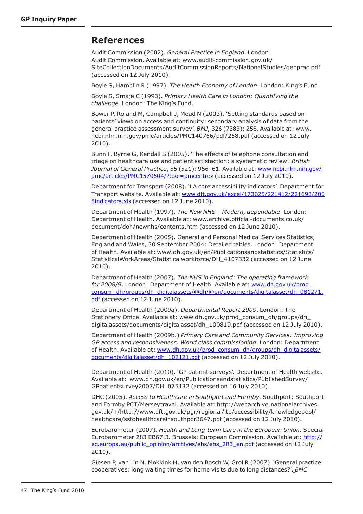# **References**

Audit Commission (2002). *General Practice in England*. London: Audit Commission. Available at: www.audit-commission.gov.uk/ SiteCollectionDocuments/AuditCommissionReports/NationalStudies/genprac.pdf (accessed on 12 July 2010).

Boyle S, Hamblin R (1997). *The Health Economy of London*. London: King's Fund.

Boyle S, Smaje C (1993). *Primary Health Care in London: Quantifying the challenge.* London: The King's Fund.

Bower P, Roland M, Campbell J, Mead N (2003). 'Setting standards based on patients' views on access and continuity: secondary analysis of data from the general practice assessment survey'. *BMJ*, 326 (7383): 258. Available at: www. ncbi.nlm.nih.gov/pmc/articles/PMC140766/pdf/258.pdf (accessed on 12 July 2010).

Bunn F, Byrne G, Kendall S (2005). 'The effects of telephone consultation and triage on healthcare use and patient satisfaction: a systematic review'. *British Journal of General Practice*, 55 (521): 956–61. Available at: www.ncbi.nlm.nih.gov/ pmc/articles/PMC1570504/?tool=pmcentrez (accessed on 12 July 2010).

Department for Transport (2008). 'LA core accessibility indicators'. Department for Transport website. Available at: www.dft.gov.uk/excel/173025/221412/221692/200 8indicators.xls (accessed on 12 June 2010).

Department of Health (1997). *The New NHS – Modern, dependable*. London: Department of Health. Available at: www.archive.official-documents.co.uk/ document/doh/newnhs/contents.htm (accessed on 12 June 2010).

Department of Health (2005). General and Personal Medical Services Statistics, England and Wales, 30 September 2004: Detailed tables. London: Department of Health. Available at: www.dh.gov.uk/en/Publicationsandstatistics/Statistics/ StatisticalWorkAreas/Statisticalworkforce/DH\_4107332 (accessed on 12 June 2010).

Department of Health (2007). *The NHS in England: The operating framework for 2008/9*. London: Department of Health. Available at: www.dh.gov.uk/prod\_ consum\_dh/groups/dh\_digitalassets/@dh/@en/documents/digitalasset/dh\_081271. pdf (accessed on 12 June 2010).

Department of Health (2009a). *Departmental Report 2009*. London: The Stationery Office. Available at: www.dh.gov.uk/prod\_consum\_dh/groups/dh\_ digitalassets/documents/digitalasset/dh\_100819.pdf (accessed on 12 July 2010).

Department of Health (2009b.) *Primary Care and Community Services: Improving GP access and responsiveness. World class commissioning*. London: Department of Health. Available at: www.dh.gov.uk/prod\_consum\_dh/groups/dh\_digitalassets/ documents/digitalasset/dh\_102121.pdf (accessed on 12 July 2010).

Department of Health (2010). 'GP patient surveys'. Department of Health website. Available at: www.dh.gov.uk/en/Publicationsandstatistics/PublishedSurvey/ GPpatientsurvey2007/DH\_075132 (accessed on 16 July 2010).

DHC (2005). *Access to Healthcare in Southport and Formby*. Southport: Southport and Formby PCT/Merseytravel. Available at: http://webarchive.nationalarchives. gov.uk/+/http://www.dft.gov.uk/pgr/regional/ltp/accessibility/knowledgepool/ healthcare/sstohealthcareinsouthpor3647.pdf (accessed on 12 July 2010).

Eurobarometer (2007). *Health and Long-term Care in the European Union*. Special Eurobarometer 283 EB67.3. Brussels: European Commission. Available at: http:// ec.europa.eu/public\_opinion/archives/ebs/ebs\_283\_en.pdf (accessed on 12 July 2010).

Giesen P, van Lin N, Mokkink H, van den Bosch W, Grol R (2007). 'General practice cooperatives: long waiting times for home visits due to long distances?'. *BMC*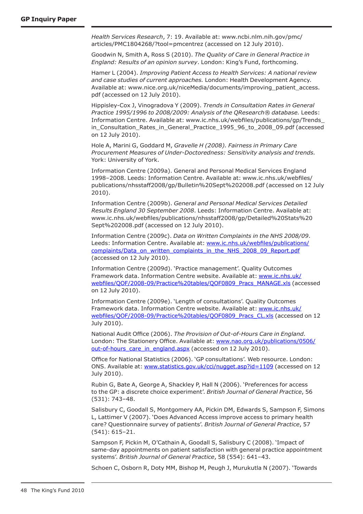*Health Services Research*, 7: 19. Available at: www.ncbi.nlm.nih.gov/pmc/ articles/PMC1804268/?tool=pmcentrez (accessed on 12 July 2010).

Goodwin N, Smith A, Ross S (2010). *The Quality of Care in General Practice in England: Results of an opinion survey*. London: King's Fund, forthcoming.

Hamer L (2004). *Improving Patient Access to Health Services: A national review and case studies of current approaches.* London: Health Development Agency. Available at: www.nice.org.uk/niceMedia/documents/improving\_patient\_access. pdf (accessed on 12 July 2010).

Hippisley-Cox J, Vinogradova Y (2009). *Trends in Consultation Rates in General Practice 1995/1996 to 2008/2009: Analysis of the QResearch® database.* Leeds: Information Centre. Available at: www.ic.nhs.uk/webfiles/publications/gp/Trends\_ in\_Consultation\_Rates\_in\_General\_Practice\_1995\_96\_to\_2008\_09.pdf (accessed on 12 July 2010).

Hole A, Marini G, Goddard M, *Gravelle H (2008). Fairness in Primary Care Procurement Measures of Under-Doctoredness: Sensitivity analysis and trends.* York: University of York.

Information Centre (2009a). General and Personal Medical Services England 1998–2008. Leeds: Information Centre. Available at: www.ic.nhs.uk/webfiles/ publications/nhsstaff2008/gp/Bulletin%20Sept%202008.pdf (accessed on 12 July 2010).

Information Centre (2009b). *General and Personal Medical Services Detailed Results England 30 September 2008*. Leeds: Information Centre. Available at: www.ic.nhs.uk/webfiles/publications/nhsstaff2008/gp/Detailed%20Stats%20 Sept%202008.pdf (accessed on 12 July 2010).

Information Centre (2009c). *Data on Written Complaints in the NHS 2008/09*. Leeds: Information Centre. Available at: www.ic.nhs.uk/webfiles/publications/ complaints/Data\_on\_written\_complaints\_in\_the\_NHS\_2008\_09\_Report.pdf (accessed on 12 July 2010).

Information Centre (2009d). 'Practice management'. Quality Outcomes Framework data. Information Centre website. Available at: www.ic.nhs.uk/ webfiles/QOF/2008-09/Practice%20tables/QOF0809\_Pracs\_MANAGE.xls (accessed on 12 July 2010).

Information Centre (2009e). 'Length of consultations'. Quality Outcomes Framework data. Information Centre website. Available at: www.ic.nhs.uk/ webfiles/QOF/2008-09/Practice%20tables/QOF0809\_Pracs\_CL.xls (accessed on 12 July 2010).

National Audit Office (2006). *The Provision of Out-of-Hours Care in England.* London: The Stationery Office. Available at: www.nao.org.uk/publications/0506/ out-of-hours care in england.aspx (accessed on 12 July 2010).

Office for National Statistics (2006). 'GP consultations'. Web resource. London: ONS. Available at: www.statistics.gov.uk/cci/nugget.asp?id=1109 (accessed on 12 July 2010).

Rubin G, Bate A, George A, Shackley P, Hall N (2006). 'Preferences for access to the GP: a discrete choice experiment'. *British Journal of General Practice*, 56 (531): 743–48.

Salisbury C, Goodall S, Montgomery AA, Pickin DM, Edwards S, Sampson F, Simons L, Lattimer V (2007). 'Does Advanced Access improve access to primary health care? Questionnaire survey of patients'. *British Journal of General Practice*, 57 (541): 615–21.

Sampson F, Pickin M, O'Cathain A, Goodall S, Salisbury C (2008). 'Impact of same-day appointments on patient satisfaction with general practice appointment systems'. *British Journal of General Practice*, 58 (554): 641–43.

Schoen C, Osborn R, Doty MM, Bishop M, Peugh J, Murukutla N (2007). 'Towards